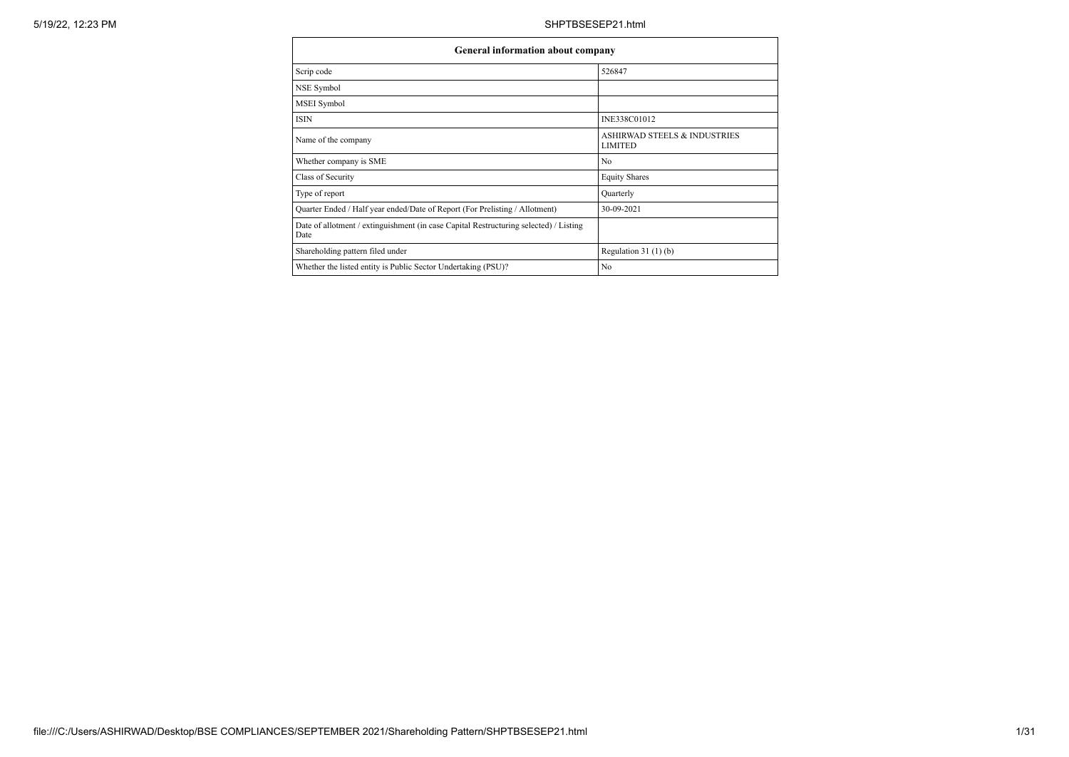| <b>General information about company</b>                                                      |                                                           |
|-----------------------------------------------------------------------------------------------|-----------------------------------------------------------|
| Scrip code                                                                                    | 526847                                                    |
| NSE Symbol                                                                                    |                                                           |
| <b>MSEI</b> Symbol                                                                            |                                                           |
| ISIN                                                                                          | INE338C01012                                              |
| Name of the company                                                                           | <b>ASHIRWAD STEELS &amp; INDUSTRIES</b><br><b>LIMITED</b> |
| Whether company is SME                                                                        | No                                                        |
| Class of Security                                                                             | <b>Equity Shares</b>                                      |
| Type of report                                                                                | Quarterly                                                 |
| Quarter Ended / Half year ended/Date of Report (For Prelisting / Allotment)                   | 30-09-2021                                                |
| Date of allotment / extinguishment (in case Capital Restructuring selected) / Listing<br>Date |                                                           |
| Shareholding pattern filed under                                                              | Regulation $31(1)(b)$                                     |
| Whether the listed entity is Public Sector Undertaking (PSU)?                                 | No                                                        |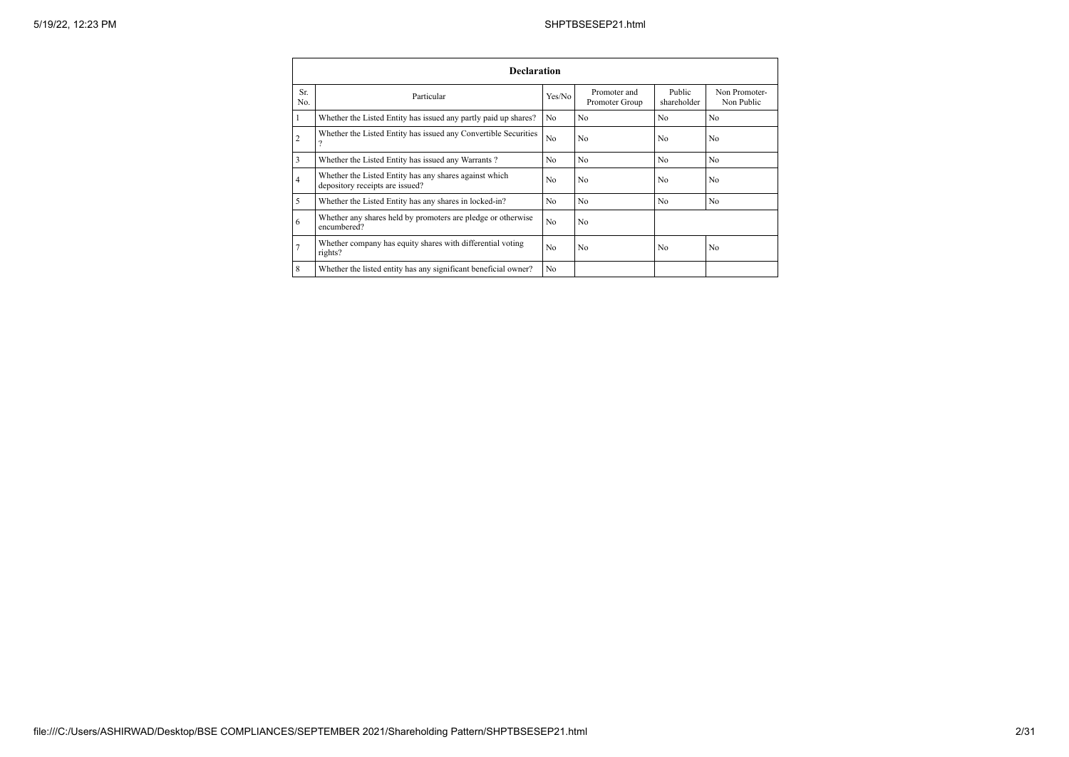|                | <b>Declaration</b>                                                                        |        |                                |                       |                             |  |  |  |  |  |  |
|----------------|-------------------------------------------------------------------------------------------|--------|--------------------------------|-----------------------|-----------------------------|--|--|--|--|--|--|
| Sr.<br>No.     | Particular                                                                                | Yes/No | Promoter and<br>Promoter Group | Public<br>shareholder | Non Promoter-<br>Non Public |  |  |  |  |  |  |
| 1              | Whether the Listed Entity has issued any partly paid up shares?                           | No     | No                             | N <sub>0</sub>        | No                          |  |  |  |  |  |  |
| $\overline{2}$ | Whether the Listed Entity has issued any Convertible Securities<br>$\Omega$               | No     | N <sub>o</sub>                 | N <sub>o</sub>        | No                          |  |  |  |  |  |  |
| 3              | Whether the Listed Entity has issued any Warrants?                                        | No     | N <sub>o</sub>                 | N <sub>0</sub>        | No                          |  |  |  |  |  |  |
| $\overline{4}$ | Whether the Listed Entity has any shares against which<br>depository receipts are issued? | No     | N <sub>o</sub>                 | N <sub>0</sub>        | No                          |  |  |  |  |  |  |
| 5              | Whether the Listed Entity has any shares in locked-in?                                    | No     | N <sub>o</sub>                 | N <sub>0</sub>        | N <sub>o</sub>              |  |  |  |  |  |  |
| 6              | Whether any shares held by promoters are pledge or otherwise<br>encumbered?               | No     | N <sub>o</sub>                 |                       |                             |  |  |  |  |  |  |
| $\overline{7}$ | Whether company has equity shares with differential voting<br>rights?                     | No     | N <sub>0</sub>                 | N <sub>0</sub>        | No                          |  |  |  |  |  |  |
| 8              | Whether the listed entity has any significant beneficial owner?                           | No     |                                |                       |                             |  |  |  |  |  |  |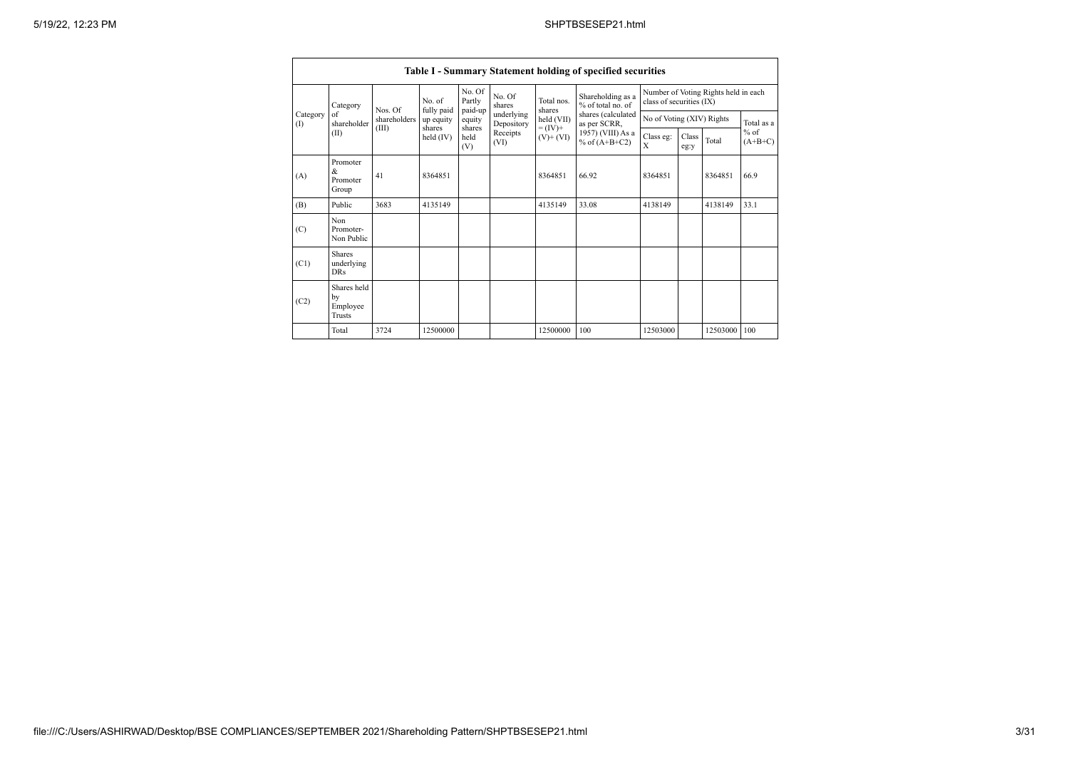|                   |                                                |              |                       |                             |                          |                              | Table I - Summary Statement holding of specified securities |                          |                           |                                      |                     |  |
|-------------------|------------------------------------------------|--------------|-----------------------|-----------------------------|--------------------------|------------------------------|-------------------------------------------------------------|--------------------------|---------------------------|--------------------------------------|---------------------|--|
|                   | Category                                       | Nos. Of      | No. of<br>fully paid  | No. Of<br>Partly<br>paid-up | No. Of<br>shares         | Total nos.<br>shares         | Shareholding as a<br>% of total no. of                      | class of securities (IX) |                           | Number of Voting Rights held in each |                     |  |
| Category<br>$($ I | of<br>shareholder                              | shareholders | up equity             | equity                      | underlying<br>Depository | held (VII)                   | shares (calculated<br>as per SCRR,                          |                          | No of Voting (XIV) Rights |                                      | Total as a          |  |
|                   | (II)                                           | (III)        | shares<br>held $(IV)$ | shares<br>held<br>(V)       | Receipts<br>(VI)         | $= (IV) +$<br>$(V)$ + $(VI)$ | 1957) (VIII) As a<br>% of $(A+B+C2)$                        | Class eg:<br>X           | Class<br>eg:y             | Total                                | $%$ of<br>$(A+B+C)$ |  |
| (A)               | Promoter<br>&<br>Promoter<br>Group             | 41           | 8364851               |                             |                          | 8364851                      | 66.92                                                       | 8364851                  | 8364851                   |                                      | 66.9                |  |
| (B)               | Public                                         | 3683         | 4135149               |                             |                          | 4135149                      | 33.08                                                       | 4138149                  |                           | 4138149                              | 33.1                |  |
| (C)               | Non<br>Promoter-<br>Non Public                 |              |                       |                             |                          |                              |                                                             |                          |                           |                                      |                     |  |
| (C1)              | <b>Shares</b><br>underlying<br>DR <sub>s</sub> |              |                       |                             |                          |                              |                                                             |                          |                           |                                      |                     |  |
| (C2)              | Shares held<br>by<br>Employee<br><b>Trusts</b> |              |                       |                             |                          |                              |                                                             |                          |                           |                                      |                     |  |
|                   | Total                                          | 3724         | 12500000              |                             |                          | 12500000                     | 100                                                         | 12503000                 |                           | 12503000 100                         |                     |  |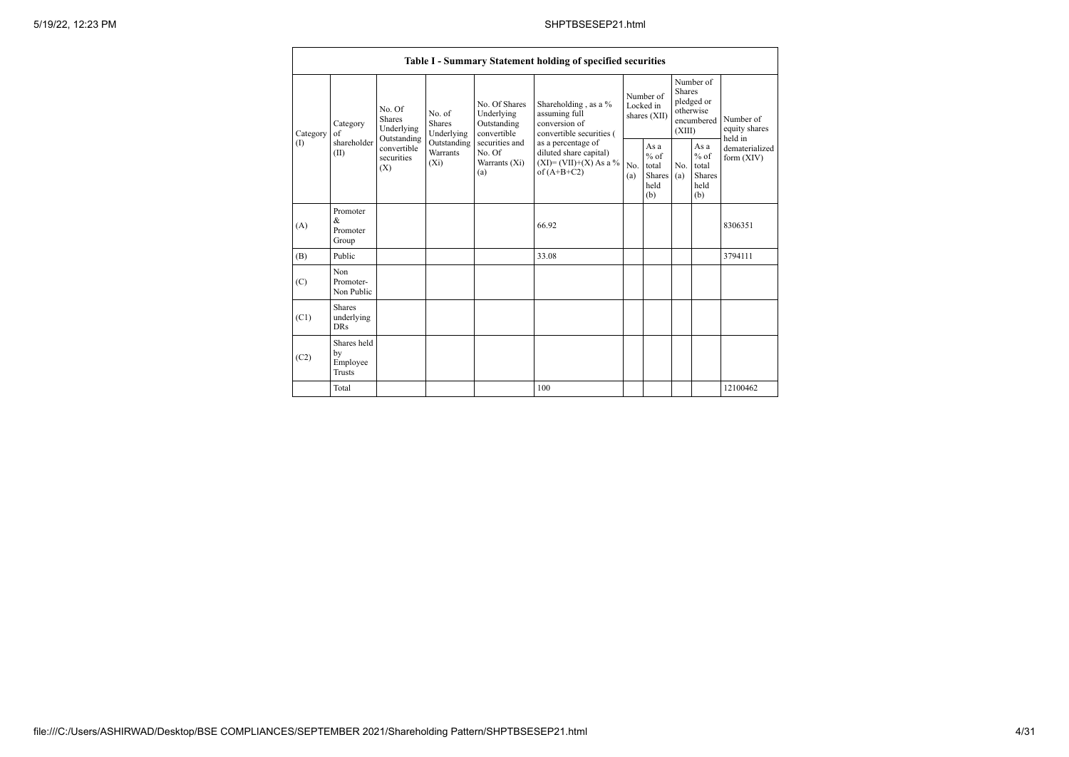|          |                                                                                                                                                                                                                                                                                                                     |                                                                                    |                                        | Table I - Summary Statement holding of specified securities                              |                                                                               |                                                         |                                       |                                                  |                              |
|----------|---------------------------------------------------------------------------------------------------------------------------------------------------------------------------------------------------------------------------------------------------------------------------------------------------------------------|------------------------------------------------------------------------------------|----------------------------------------|------------------------------------------------------------------------------------------|-------------------------------------------------------------------------------|---------------------------------------------------------|---------------------------------------|--------------------------------------------------|------------------------------|
| Category | No. Of Shares<br>No. Of<br>Underlying<br>No. of<br>Shares<br>Shares<br>Category<br>Outstanding<br>Underlying<br>Underlying<br>convertible<br>of<br>Outstanding<br>shareholder<br>Outstanding<br>securities and<br>convertible<br>Warrants<br>No. Of<br>(II)<br>securities<br>$(X_i)$<br>Warrants (Xi)<br>(X)<br>(a) | Shareholding, as a %<br>assuming full<br>conversion of<br>convertible securities ( | Number of<br>Locked in<br>shares (XII) |                                                                                          | Number of<br><b>Shares</b><br>pledged or<br>otherwise<br>encumbered<br>(XIII) |                                                         | Number of<br>equity shares<br>held in |                                                  |                              |
| (I)      |                                                                                                                                                                                                                                                                                                                     |                                                                                    |                                        | as a percentage of<br>diluted share capital)<br>$(XI)=(VII)+(X) As a %$<br>of $(A+B+C2)$ | No.<br>(a)                                                                    | As a<br>$%$ of<br>total<br><b>Shares</b><br>held<br>(b) | No.<br>(a)                            | As a<br>$%$ of<br>total<br>Shares<br>held<br>(b) | dematerialized<br>form (XIV) |
| (A)      | Promoter<br>&<br>Promoter<br>Group                                                                                                                                                                                                                                                                                  |                                                                                    |                                        | 66.92                                                                                    |                                                                               |                                                         |                                       |                                                  | 8306351                      |
| (B)      | Public                                                                                                                                                                                                                                                                                                              |                                                                                    |                                        | 33.08                                                                                    |                                                                               |                                                         |                                       |                                                  | 3794111                      |
| (C)      | Non<br>Promoter-<br>Non Public                                                                                                                                                                                                                                                                                      |                                                                                    |                                        |                                                                                          |                                                                               |                                                         |                                       |                                                  |                              |
| (C1)     | <b>Shares</b><br>underlying<br><b>DRs</b>                                                                                                                                                                                                                                                                           |                                                                                    |                                        |                                                                                          |                                                                               |                                                         |                                       |                                                  |                              |
| (C2)     | Shares held<br>by<br>Employee<br><b>Trusts</b>                                                                                                                                                                                                                                                                      |                                                                                    |                                        |                                                                                          |                                                                               |                                                         |                                       |                                                  |                              |
|          | Total                                                                                                                                                                                                                                                                                                               |                                                                                    |                                        | 100                                                                                      |                                                                               |                                                         |                                       |                                                  | 12100462                     |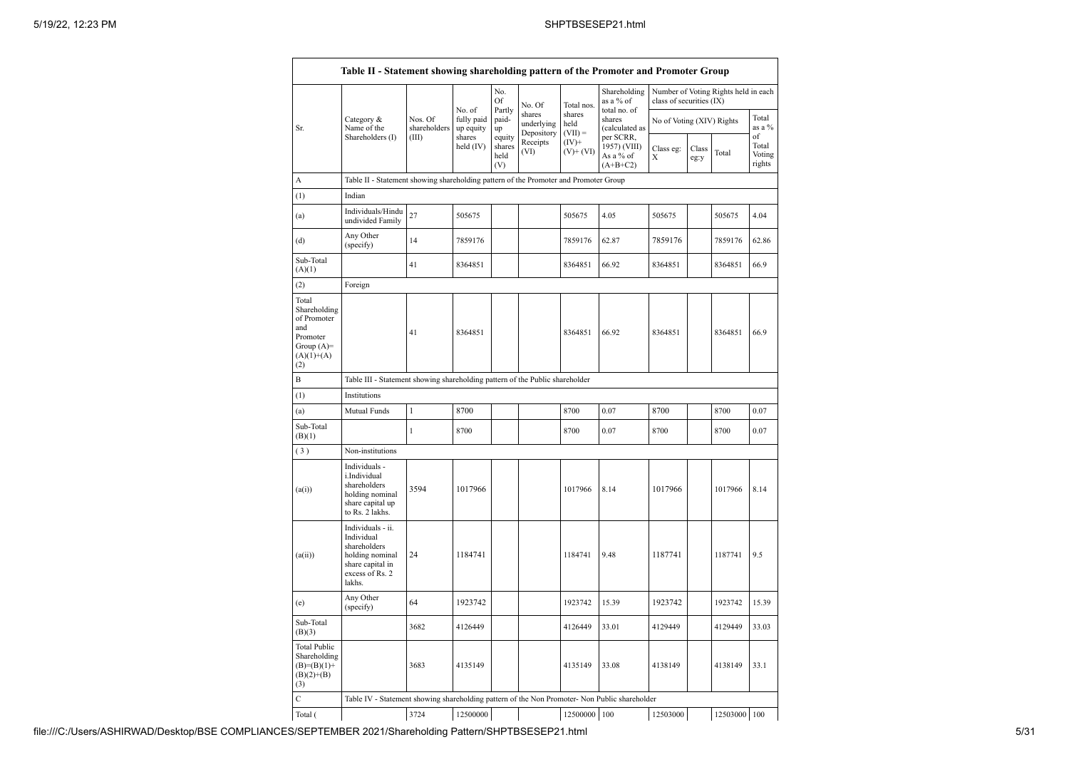|                                                                                                | Table II - Statement showing shareholding pattern of the Promoter and Promoter Group                                |                                  |                                   |                       |                                    |                             |                                           |                           |               |                                      |                           |
|------------------------------------------------------------------------------------------------|---------------------------------------------------------------------------------------------------------------------|----------------------------------|-----------------------------------|-----------------------|------------------------------------|-----------------------------|-------------------------------------------|---------------------------|---------------|--------------------------------------|---------------------------|
|                                                                                                |                                                                                                                     |                                  | No. of                            | No.<br>Of<br>Partly   | No. Of                             | Total nos.                  | Shareholding<br>as a % of<br>total no. of | class of securities (IX)  |               | Number of Voting Rights held in each |                           |
| Sr.                                                                                            | Category &<br>Name of the<br>Shareholders (I)                                                                       | Nos. Of<br>shareholders<br>(III) | fully paid<br>up equity<br>shares | paid-<br>up<br>equity | shares<br>underlying<br>Depository | shares<br>held<br>$(VII) =$ | shares<br>(calculated as<br>per SCRR,     | No of Voting (XIV) Rights |               |                                      | Total<br>as a %<br>of     |
|                                                                                                |                                                                                                                     |                                  | held $(IV)$                       | shares<br>held<br>(V) | Receipts<br>(VI)                   | $(IV)+$<br>$(V)+(VI)$       | 1957) (VIII)<br>As a % of<br>$(A+B+C2)$   | Class eg:<br>X            | Class<br>eg:y | Total                                | Total<br>Voting<br>rights |
| А                                                                                              | Table II - Statement showing shareholding pattern of the Promoter and Promoter Group                                |                                  |                                   |                       |                                    |                             |                                           |                           |               |                                      |                           |
| (1)                                                                                            | Indian                                                                                                              |                                  |                                   |                       |                                    |                             |                                           |                           |               |                                      |                           |
| (a)                                                                                            | Individuals/Hindu<br>undivided Family                                                                               | 27                               | 505675                            |                       |                                    | 505675                      | 4.05                                      | 505675                    |               | 505675                               | 4.04                      |
| (d)                                                                                            | Any Other<br>(specify)                                                                                              | 14                               | 7859176                           |                       |                                    | 7859176                     | 62.87                                     | 7859176                   |               | 7859176                              | 62.86                     |
| Sub-Total<br>(A)(1)                                                                            |                                                                                                                     | 41                               | 8364851                           |                       |                                    | 8364851                     | 66.92                                     | 8364851                   |               | 8364851                              | 66.9                      |
| (2)                                                                                            | Foreign                                                                                                             |                                  |                                   |                       |                                    |                             |                                           |                           |               |                                      |                           |
| Total<br>Shareholding<br>of Promoter<br>and<br>Promoter<br>Group $(A)=$<br>$(A)(1)+(A)$<br>(2) |                                                                                                                     | 41                               | 8364851                           |                       |                                    | 8364851                     | 66.92                                     | 8364851                   |               | 8364851                              | 66.9                      |
| B                                                                                              | Table III - Statement showing shareholding pattern of the Public shareholder                                        |                                  |                                   |                       |                                    |                             |                                           |                           |               |                                      |                           |
| (1)                                                                                            | Institutions                                                                                                        |                                  |                                   |                       |                                    |                             |                                           |                           |               |                                      |                           |
| (a)                                                                                            | Mutual Funds                                                                                                        | 1                                | 8700                              |                       |                                    | 8700                        | 0.07                                      | 8700                      |               | 8700                                 | 0.07                      |
| Sub-Total<br>(B)(1)                                                                            |                                                                                                                     | $\mathbf{1}$                     | 8700                              |                       |                                    | 8700                        | 0.07                                      | 8700                      |               | 8700                                 | 0.07                      |
| (3)                                                                                            | Non-institutions                                                                                                    |                                  |                                   |                       |                                    |                             |                                           |                           |               |                                      |                           |
| (a(i))                                                                                         | Individuals -<br>i.Individual<br>shareholders<br>holding nominal<br>share capital up<br>to Rs. 2 lakhs.             | 3594                             | 1017966                           |                       |                                    | 1017966                     | 8.14                                      | 1017966                   |               | 1017966                              | 8.14                      |
| (a(ii))                                                                                        | Individuals - ii.<br>Individual<br>shareholders<br>holding nominal<br>share capital in<br>excess of Rs. 2<br>lakhs. | 24                               | 1184741                           |                       |                                    | 1184741                     | 9.48                                      | 1187741                   |               | 1187741                              | 9.5                       |
| (e)                                                                                            | Any Other<br>(specify)                                                                                              | 64                               | 1923742                           |                       |                                    | 1923742                     | 15.39                                     | 1923742                   |               | 1923742                              | 15.39                     |
| Sub-Total<br>(B)(3)                                                                            |                                                                                                                     | 3682                             | 4126449                           |                       |                                    | 4126449                     | 33.01                                     | 4129449                   |               | 4129449                              | 33.03                     |
| <b>Total Public</b><br>Shareholding<br>$(B)=(B)(1)+$<br>$(B)(2)+(B)$<br>(3)                    |                                                                                                                     | 3683                             | 4135149                           |                       |                                    | 4135149                     | 33.08                                     | 4138149                   |               | 4138149                              | 33.1                      |
| $\overline{C}$                                                                                 | Table IV - Statement showing shareholding pattern of the Non Promoter- Non Public shareholder                       |                                  |                                   |                       |                                    |                             |                                           |                           |               |                                      |                           |
| Total (                                                                                        |                                                                                                                     | 3724                             | 12500000                          |                       |                                    | 12500000 100                |                                           | 12503000                  |               | 12503000 100                         |                           |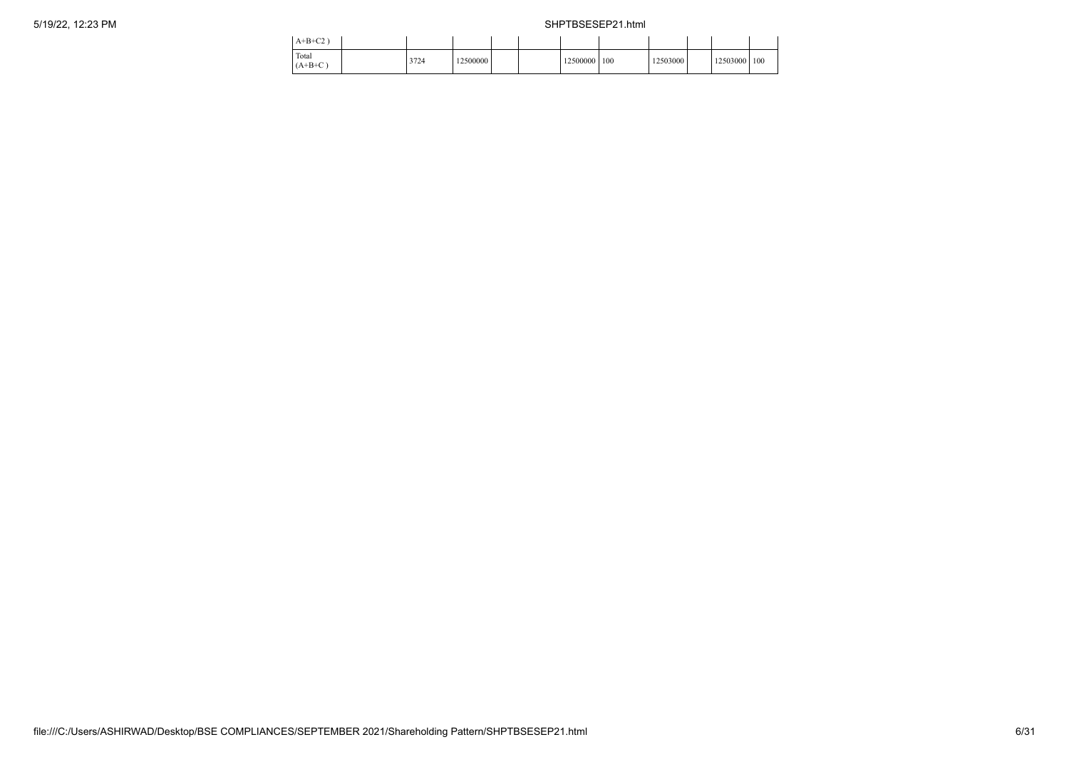| $A+B+C2$           |      |          |  |          |     |          |              |  |
|--------------------|------|----------|--|----------|-----|----------|--------------|--|
| Total<br>$(A+B+C)$ | 3724 | 12500000 |  | 12500000 | 100 | 12503000 | 12503000 100 |  |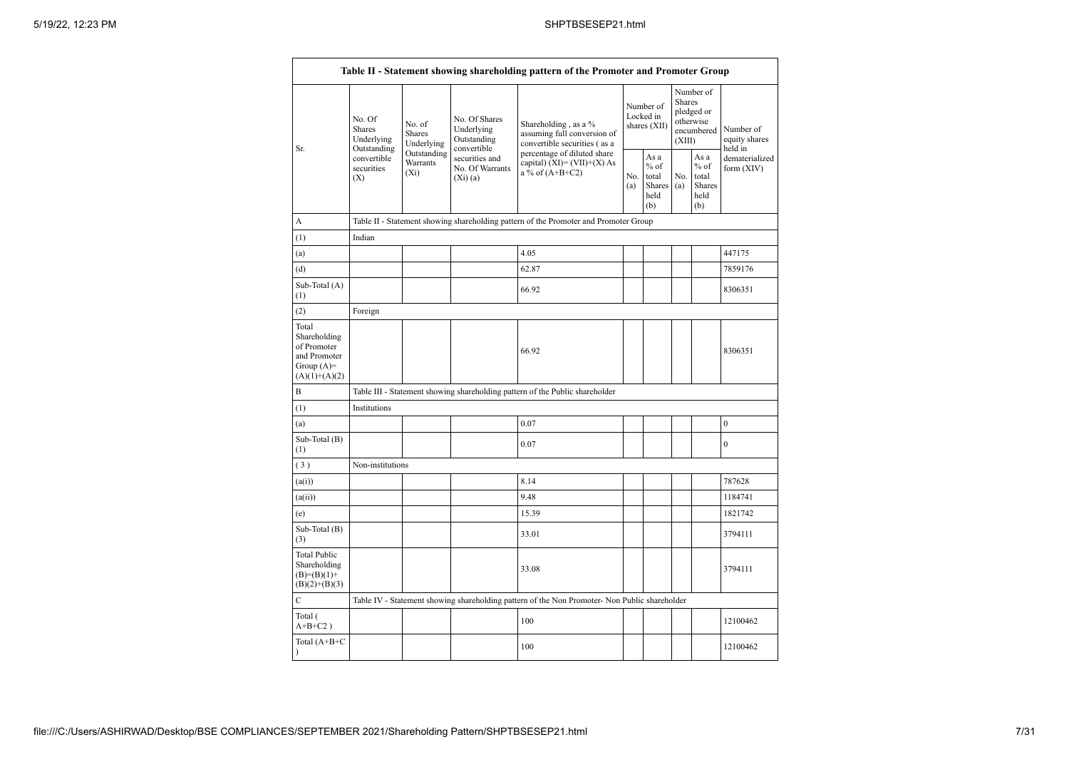|                                                                                         |                                                                                      |                                    |                                                           | Table II - Statement showing shareholding pattern of the Promoter and Promoter Group          |                                        |                                                            |                                                                        |                                                         |                                       |  |  |
|-----------------------------------------------------------------------------------------|--------------------------------------------------------------------------------------|------------------------------------|-----------------------------------------------------------|-----------------------------------------------------------------------------------------------|----------------------------------------|------------------------------------------------------------|------------------------------------------------------------------------|---------------------------------------------------------|---------------------------------------|--|--|
| Sr.                                                                                     | No. Of<br>Shares<br>Underlying<br>Outstanding                                        | No. of<br>Shares<br>Underlying     | No. Of Shares<br>Underlying<br>Outstanding<br>convertible | Shareholding, as a %<br>assuming full conversion of<br>convertible securities (as a           | Number of<br>Locked in<br>shares (XII) |                                                            | Number of<br>Shares<br>pledged or<br>otherwise<br>encumbered<br>(XIII) |                                                         | Number of<br>equity shares<br>held in |  |  |
|                                                                                         | convertible<br>securities<br>(X)                                                     | Outstanding<br>Warrants<br>$(X_i)$ | securities and<br>No. Of Warrants<br>$(X_i)(a)$           | percentage of diluted share<br>capital) $(XI) = (VII)+(X) As$<br>a % of $(A+B+C2)$            | No.<br>(a)                             | As $\mathbf a$<br>$%$ of<br>total<br>Shares<br>held<br>(b) | No.<br>(a)                                                             | As a<br>$%$ of<br>total<br><b>Shares</b><br>held<br>(b) | dematerialized<br>form (XIV)          |  |  |
| А                                                                                       | Table II - Statement showing shareholding pattern of the Promoter and Promoter Group |                                    |                                                           |                                                                                               |                                        |                                                            |                                                                        |                                                         |                                       |  |  |
| (1)                                                                                     | Indian                                                                               |                                    |                                                           |                                                                                               |                                        |                                                            |                                                                        |                                                         |                                       |  |  |
| (a)                                                                                     |                                                                                      |                                    |                                                           | 4.05                                                                                          |                                        |                                                            |                                                                        |                                                         | 447175                                |  |  |
| (d)                                                                                     |                                                                                      |                                    |                                                           | 62.87                                                                                         |                                        |                                                            |                                                                        |                                                         | 7859176                               |  |  |
| Sub-Total (A)<br>(1)                                                                    |                                                                                      |                                    |                                                           | 66.92                                                                                         |                                        |                                                            |                                                                        |                                                         | 8306351                               |  |  |
| (2)                                                                                     | Foreign                                                                              |                                    |                                                           |                                                                                               |                                        |                                                            |                                                                        |                                                         |                                       |  |  |
| Total<br>Shareholding<br>of Promoter<br>and Promoter<br>Group $(A)=$<br>$(A)(1)+(A)(2)$ |                                                                                      |                                    |                                                           | 66.92                                                                                         |                                        |                                                            |                                                                        |                                                         | 8306351                               |  |  |
| B                                                                                       |                                                                                      |                                    |                                                           | Table III - Statement showing shareholding pattern of the Public shareholder                  |                                        |                                                            |                                                                        |                                                         |                                       |  |  |
| (1)                                                                                     | Institutions                                                                         |                                    |                                                           |                                                                                               |                                        |                                                            |                                                                        |                                                         |                                       |  |  |
| (a)                                                                                     |                                                                                      |                                    |                                                           | 0.07                                                                                          |                                        |                                                            |                                                                        |                                                         | $\boldsymbol{0}$                      |  |  |
| Sub-Total (B)<br>(1)                                                                    |                                                                                      |                                    |                                                           | 0.07                                                                                          |                                        |                                                            |                                                                        |                                                         | $\boldsymbol{0}$                      |  |  |
| (3)                                                                                     | Non-institutions                                                                     |                                    |                                                           |                                                                                               |                                        |                                                            |                                                                        |                                                         |                                       |  |  |
| (a(i))                                                                                  |                                                                                      |                                    |                                                           | 8.14                                                                                          |                                        |                                                            |                                                                        |                                                         | 787628                                |  |  |
| (a(ii))                                                                                 |                                                                                      |                                    |                                                           | 9.48                                                                                          |                                        |                                                            |                                                                        |                                                         | 1184741                               |  |  |
| (e)                                                                                     |                                                                                      |                                    |                                                           | 15.39                                                                                         |                                        |                                                            |                                                                        |                                                         | 1821742                               |  |  |
| Sub-Total (B)<br>(3)                                                                    |                                                                                      |                                    |                                                           | 33.01                                                                                         |                                        |                                                            |                                                                        |                                                         | 3794111                               |  |  |
| <b>Total Public</b><br>Shareholding<br>$(B)=(B)(1)+$<br>$(B)(2)+(B)(3)$                 |                                                                                      |                                    |                                                           | 33.08                                                                                         |                                        |                                                            |                                                                        |                                                         | 3794111                               |  |  |
| $\mathbf C$                                                                             |                                                                                      |                                    |                                                           | Table IV - Statement showing shareholding pattern of the Non Promoter- Non Public shareholder |                                        |                                                            |                                                                        |                                                         |                                       |  |  |
| Total (<br>$A+B+C2$ )                                                                   |                                                                                      |                                    |                                                           | 100                                                                                           |                                        |                                                            |                                                                        |                                                         | 12100462                              |  |  |
| Total $(A+B+C)$<br>$\lambda$                                                            |                                                                                      |                                    |                                                           | 100                                                                                           |                                        |                                                            |                                                                        |                                                         | 12100462                              |  |  |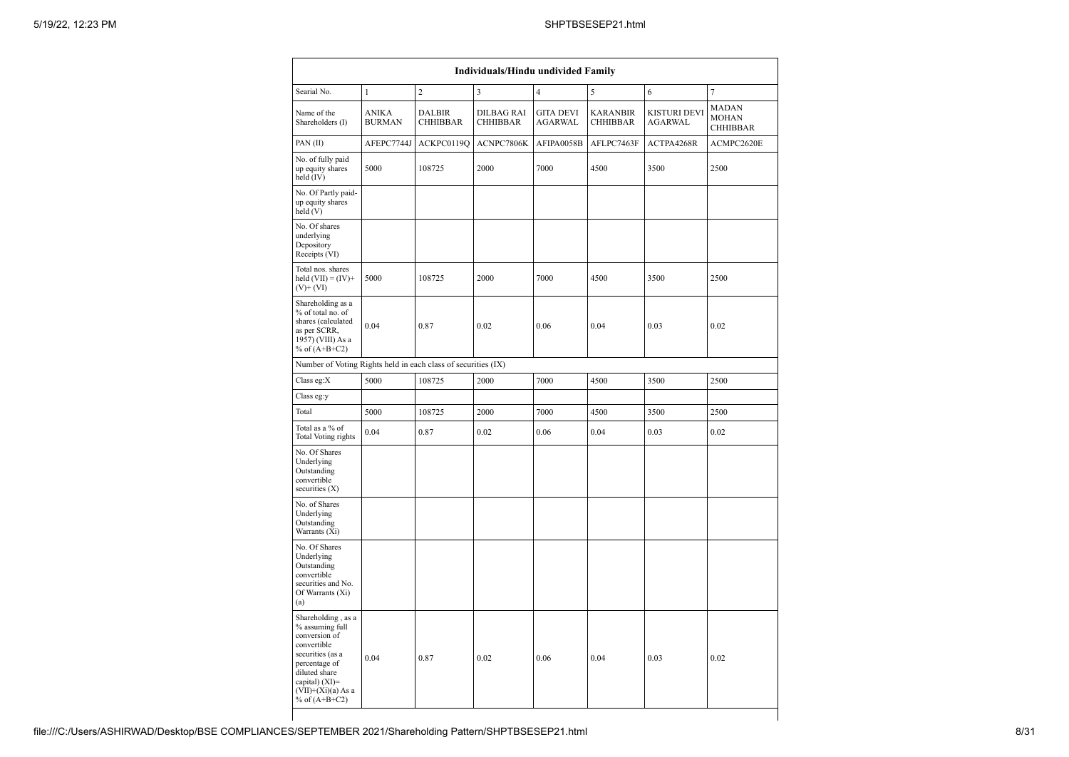| Individuals/Hindu undivided Family                                                                                                                                                       |                               |                                  |                                      |                                    |                                    |                                |                                   |  |  |  |  |
|------------------------------------------------------------------------------------------------------------------------------------------------------------------------------------------|-------------------------------|----------------------------------|--------------------------------------|------------------------------------|------------------------------------|--------------------------------|-----------------------------------|--|--|--|--|
| Searial No.                                                                                                                                                                              | $\mathbf{1}$                  | $\overline{c}$                   | 3                                    | $\overline{4}$                     | 5                                  | 6                              | 7                                 |  |  |  |  |
| Name of the<br>Shareholders (I)                                                                                                                                                          | <b>ANIKA</b><br><b>BURMAN</b> | <b>DALBIR</b><br><b>CHHIBBAR</b> | <b>DILBAG RAI</b><br><b>CHHIBBAR</b> | <b>GITA DEVI</b><br><b>AGARWAL</b> | <b>KARANBIR</b><br><b>CHHIBBAR</b> | KISTURI DEVI<br><b>AGARWAL</b> | MADAN<br><b>MOHAN</b><br>CHHIBBAR |  |  |  |  |
| PAN(II)                                                                                                                                                                                  | AFEPC7744J                    | ACKPC0119Q                       | ACNPC7806K                           | AFIPA0058B                         | AFLPC7463F                         | ACTPA4268R                     | ACMPC2620E                        |  |  |  |  |
| No. of fully paid<br>up equity shares<br>held (IV)                                                                                                                                       | 5000                          | 108725                           | 2000                                 | 7000                               | 4500                               | 3500                           | 2500                              |  |  |  |  |
| No. Of Partly paid-<br>up equity shares<br>held(V)                                                                                                                                       |                               |                                  |                                      |                                    |                                    |                                |                                   |  |  |  |  |
| No. Of shares<br>underlying<br>Depository<br>Receipts (VI)                                                                                                                               |                               |                                  |                                      |                                    |                                    |                                |                                   |  |  |  |  |
| Total nos. shares<br>held $(VII) = (IV) +$<br>$(V)$ + $(VI)$                                                                                                                             | 5000                          | 108725                           | 2000                                 | 7000                               | 4500                               | 3500                           | 2500                              |  |  |  |  |
| Shareholding as a<br>% of total no. of<br>shares (calculated<br>as per SCRR,<br>1957) (VIII) As a<br>% of $(A+B+C2)$                                                                     | 0.04                          | 0.87                             | 0.02                                 | 0.06                               | 0.04                               | 0.03                           | 0.02                              |  |  |  |  |
| Number of Voting Rights held in each class of securities (IX)                                                                                                                            |                               |                                  |                                      |                                    |                                    |                                |                                   |  |  |  |  |
| Class eg:X                                                                                                                                                                               | 5000                          | 108725                           | 2000                                 | 7000                               | 4500                               | 3500                           | 2500                              |  |  |  |  |
| Class eg:y                                                                                                                                                                               |                               |                                  |                                      |                                    |                                    |                                |                                   |  |  |  |  |
| Total                                                                                                                                                                                    | 5000                          | 108725                           | 2000                                 | 7000                               | 4500                               | 3500                           | 2500                              |  |  |  |  |
| Total as a % of<br>Total Voting rights                                                                                                                                                   | 0.04                          | 0.87                             | 0.02                                 | 0.06                               | 0.04                               | 0.03                           | 0.02                              |  |  |  |  |
| No. Of Shares<br>Underlying<br>Outstanding<br>convertible<br>securities $(X)$                                                                                                            |                               |                                  |                                      |                                    |                                    |                                |                                   |  |  |  |  |
| No. of Shares<br>Underlying<br>Outstanding<br>Warrants (Xi)                                                                                                                              |                               |                                  |                                      |                                    |                                    |                                |                                   |  |  |  |  |
| No. Of Shares<br>Underlying<br>Outstanding<br>convertible<br>securities and No.<br>Of Warrants (Xi)<br>(a)                                                                               |                               |                                  |                                      |                                    |                                    |                                |                                   |  |  |  |  |
| Shareholding, as a<br>% assuming full<br>conversion of<br>convertible<br>securities (as a<br>percentage of<br>diluted share<br>capital) (XI)=<br>$(VII)+(Xi)(a) As a$<br>% of $(A+B+C2)$ | 0.04                          | 0.87                             | 0.02                                 | 0.06                               | 0.04                               | 0.03                           | 0.02                              |  |  |  |  |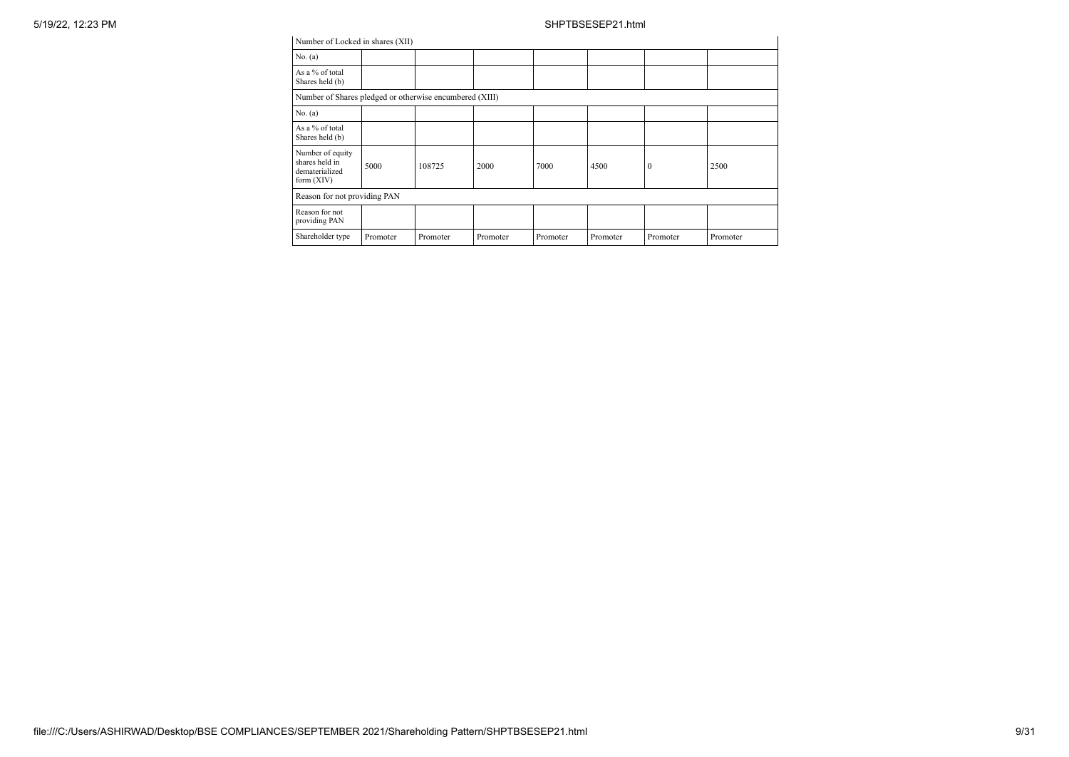| Number of Locked in shares (XII)                                     |          |          |          |          |          |          |          |  |  |  |  |
|----------------------------------------------------------------------|----------|----------|----------|----------|----------|----------|----------|--|--|--|--|
| No. (a)                                                              |          |          |          |          |          |          |          |  |  |  |  |
| As a % of total<br>Shares held (b)                                   |          |          |          |          |          |          |          |  |  |  |  |
| Number of Shares pledged or otherwise encumbered (XIII)              |          |          |          |          |          |          |          |  |  |  |  |
| No. (a)                                                              |          |          |          |          |          |          |          |  |  |  |  |
| As a % of total<br>Shares held (b)                                   |          |          |          |          |          |          |          |  |  |  |  |
| Number of equity<br>shares held in<br>dematerialized<br>form $(XIV)$ | 5000     | 108725   | 2000     | 7000     | 4500     | $\theta$ | 2500     |  |  |  |  |
| Reason for not providing PAN                                         |          |          |          |          |          |          |          |  |  |  |  |
| Reason for not<br>providing PAN                                      |          |          |          |          |          |          |          |  |  |  |  |
| Shareholder type                                                     | Promoter | Promoter | Promoter | Promoter | Promoter | Promoter | Promoter |  |  |  |  |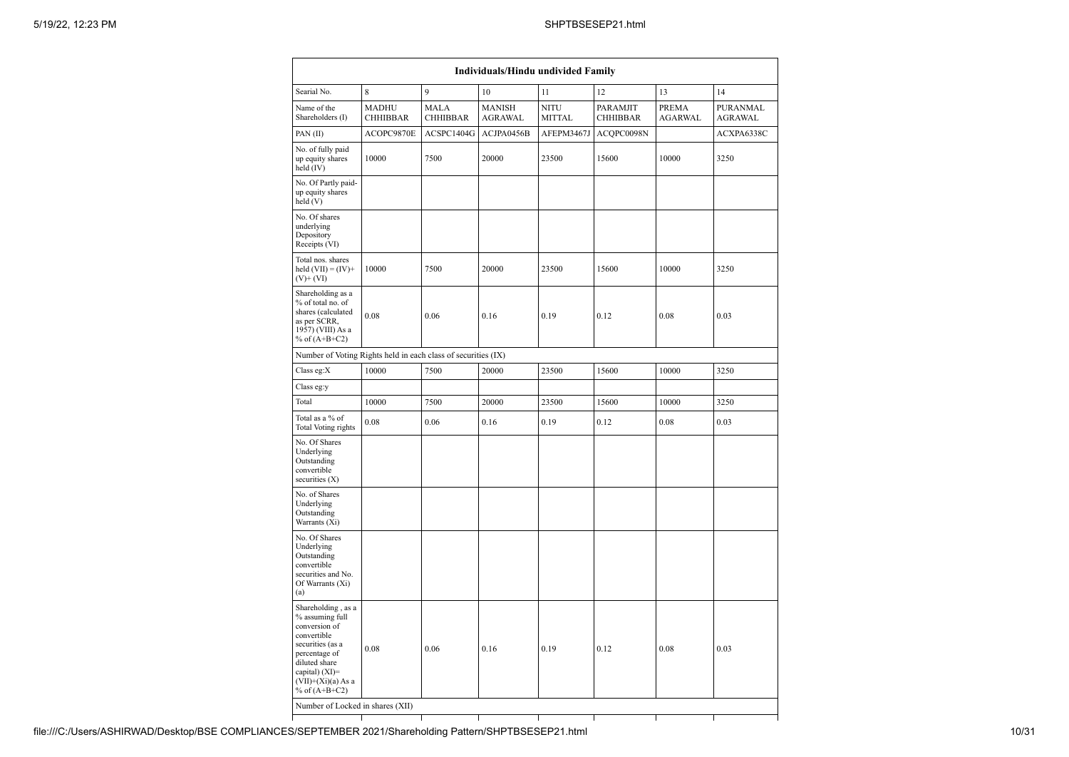| Individuals/Hindu undivided Family                                                                                                                                                       |                                 |                                |                                 |                              |                             |                                |                            |  |  |  |  |
|------------------------------------------------------------------------------------------------------------------------------------------------------------------------------------------|---------------------------------|--------------------------------|---------------------------------|------------------------------|-----------------------------|--------------------------------|----------------------------|--|--|--|--|
| Searial No.                                                                                                                                                                              | 8                               | 9                              | 10                              | 11                           | 12                          | 13                             | 14                         |  |  |  |  |
| Name of the<br>Shareholders (I)                                                                                                                                                          | <b>MADHU</b><br><b>CHHIBBAR</b> | <b>MALA</b><br><b>CHHIBBAR</b> | <b>MANISH</b><br><b>AGRAWAL</b> | <b>NITU</b><br><b>MITTAL</b> | PARAMJIT<br><b>CHHIBBAR</b> | <b>PREMA</b><br><b>AGARWAL</b> | PURANMAL<br><b>AGRAWAL</b> |  |  |  |  |
| PAN(II)                                                                                                                                                                                  | ACOPC9870E                      | ACSPC1404G                     | ACJPA0456B                      | AFEPM3467J                   | ACQPC0098N                  |                                | ACXPA6338C                 |  |  |  |  |
| No. of fully paid<br>up equity shares<br>held (IV)                                                                                                                                       | 10000                           | 7500                           | 20000                           | 23500                        | 15600                       | 10000                          | 3250                       |  |  |  |  |
| No. Of Partly paid-<br>up equity shares<br>held(V)                                                                                                                                       |                                 |                                |                                 |                              |                             |                                |                            |  |  |  |  |
| No. Of shares<br>underlying<br>Depository<br>Receipts (VI)                                                                                                                               |                                 |                                |                                 |                              |                             |                                |                            |  |  |  |  |
| Total nos. shares<br>held $(VII) = (IV) +$<br>$(V)$ + $(VI)$                                                                                                                             | 10000                           | 7500                           | 20000                           | 23500                        | 15600                       | 10000                          | 3250                       |  |  |  |  |
| Shareholding as a<br>% of total no. of<br>shares (calculated<br>as per SCRR,<br>1957) (VIII) As a<br>% of $(A+B+C2)$                                                                     | 0.08                            | 0.06                           | 0.16                            | 0.19                         | 0.12                        | 0.08                           | 0.03                       |  |  |  |  |
| Number of Voting Rights held in each class of securities (IX)                                                                                                                            |                                 |                                |                                 |                              |                             |                                |                            |  |  |  |  |
| Class eg:X                                                                                                                                                                               | 10000                           | 7500                           | 20000                           | 23500                        | 15600                       | 10000                          | 3250                       |  |  |  |  |
| Class eg:y                                                                                                                                                                               |                                 |                                |                                 |                              |                             |                                |                            |  |  |  |  |
| Total                                                                                                                                                                                    | 10000                           | 7500                           | 20000                           | 23500                        | 15600                       | 10000                          | 3250                       |  |  |  |  |
| Total as a % of<br>Total Voting rights                                                                                                                                                   | 0.08                            | 0.06                           | 0.16                            | 0.19                         | 0.12                        | 0.08                           | 0.03                       |  |  |  |  |
| No. Of Shares<br>Underlying<br>Outstanding<br>convertible<br>securities (X)                                                                                                              |                                 |                                |                                 |                              |                             |                                |                            |  |  |  |  |
| No. of Shares<br>Underlying<br>Outstanding<br>Warrants (Xi)                                                                                                                              |                                 |                                |                                 |                              |                             |                                |                            |  |  |  |  |
| No. Of Shares<br>Underlying<br>Outstanding<br>convertible<br>securities and No.<br>Of Warrants (Xi)<br>(a)                                                                               |                                 |                                |                                 |                              |                             |                                |                            |  |  |  |  |
| Shareholding, as a<br>% assuming full<br>conversion of<br>convertible<br>securities (as a<br>percentage of<br>diluted share<br>capital) (XI)=<br>$(VII)+(Xi)(a)$ As a<br>% of $(A+B+C2)$ | 0.08                            | 0.06                           | 0.16                            | 0.19                         | 0.12                        | 0.08                           | 0.03                       |  |  |  |  |
| Number of Locked in shares (XII)                                                                                                                                                         |                                 |                                |                                 |                              |                             |                                |                            |  |  |  |  |
|                                                                                                                                                                                          |                                 |                                |                                 |                              |                             |                                |                            |  |  |  |  |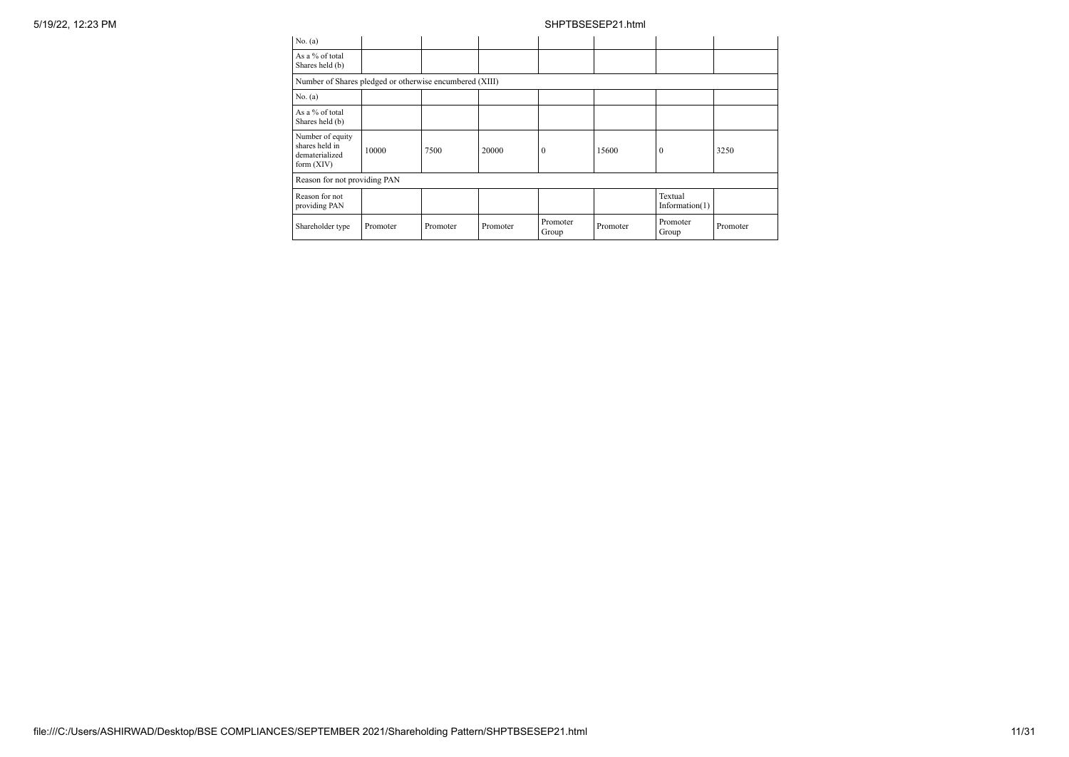| No. (a)                                                            |          |          |          |                   |          |                              |          |
|--------------------------------------------------------------------|----------|----------|----------|-------------------|----------|------------------------------|----------|
| As a % of total<br>Shares held (b)                                 |          |          |          |                   |          |                              |          |
| Number of Shares pledged or otherwise encumbered (XIII)            |          |          |          |                   |          |                              |          |
| No. (a)                                                            |          |          |          |                   |          |                              |          |
| As a % of total<br>Shares held (b)                                 |          |          |          |                   |          |                              |          |
| Number of equity<br>shares held in<br>dematerialized<br>form (XIV) | 10000    | 7500     | 20000    | 0                 | 15600    | $\Omega$                     | 3250     |
| Reason for not providing PAN                                       |          |          |          |                   |          |                              |          |
| Reason for not<br>providing PAN                                    |          |          |          |                   |          | Textual<br>Information $(1)$ |          |
| Shareholder type                                                   | Promoter | Promoter | Promoter | Promoter<br>Group | Promoter | Promoter<br>Group            | Promoter |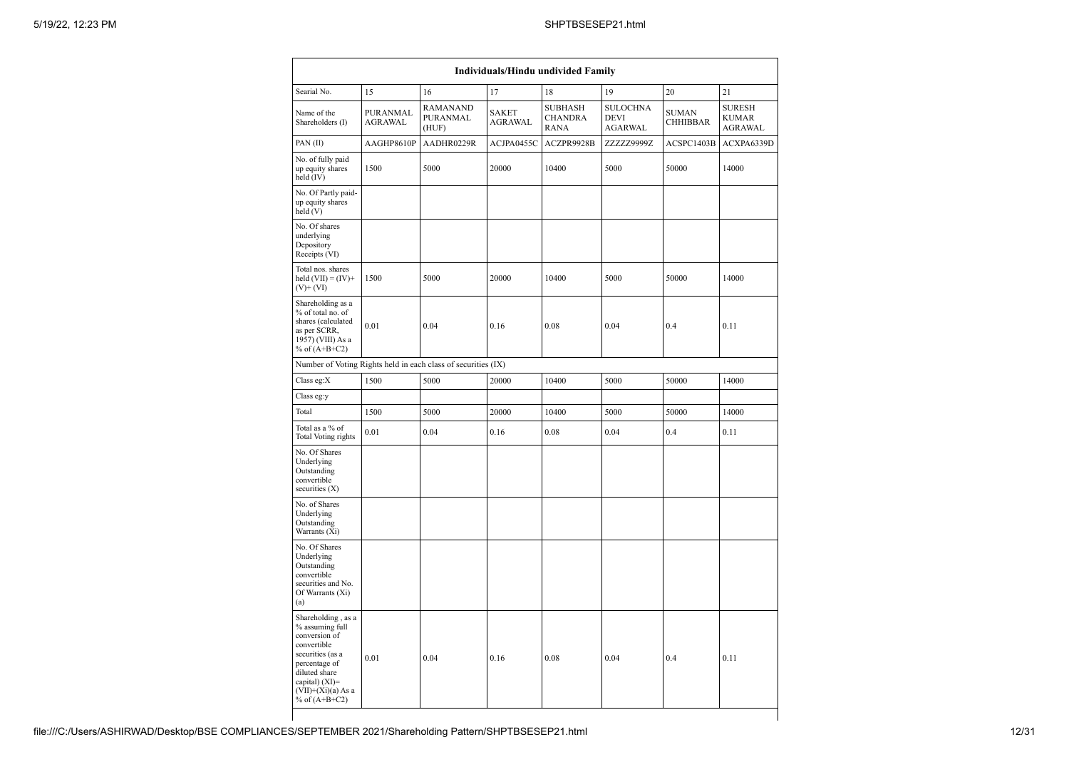| <b>Individuals/Hindu undivided Family</b>                                                                                                                                                |                            |                                                               |                                |                                                 |                                                  |                                 |                                                 |  |  |  |  |  |
|------------------------------------------------------------------------------------------------------------------------------------------------------------------------------------------|----------------------------|---------------------------------------------------------------|--------------------------------|-------------------------------------------------|--------------------------------------------------|---------------------------------|-------------------------------------------------|--|--|--|--|--|
| Searial No.                                                                                                                                                                              | 15                         | 16                                                            | 17                             | 18                                              | 19                                               | 20                              | 21                                              |  |  |  |  |  |
| Name of the<br>Shareholders (I)                                                                                                                                                          | PURANMAL<br><b>AGRAWAL</b> | <b>RAMANAND</b><br><b>PURANMAL</b><br>(HUF)                   | <b>SAKET</b><br><b>AGRAWAL</b> | <b>SUBHASH</b><br><b>CHANDRA</b><br><b>RANA</b> | <b>SULOCHNA</b><br><b>DEVI</b><br><b>AGARWAL</b> | <b>SUMAN</b><br><b>CHHIBBAR</b> | <b>SURESH</b><br><b>KUMAR</b><br><b>AGRAWAL</b> |  |  |  |  |  |
| PAN(II)                                                                                                                                                                                  | AAGHP8610P                 | AADHR0229R                                                    | ACJPA0455C                     | ACZPR9928B                                      | ZZZZZ9999Z                                       | ACSPC1403B                      | ACXPA6339D                                      |  |  |  |  |  |
| No. of fully paid<br>up equity shares<br>held (IV)                                                                                                                                       | 1500                       | 5000                                                          | 20000                          | 10400                                           | 5000                                             | 50000                           | 14000                                           |  |  |  |  |  |
| No. Of Partly paid-<br>up equity shares<br>held (V)                                                                                                                                      |                            |                                                               |                                |                                                 |                                                  |                                 |                                                 |  |  |  |  |  |
| No. Of shares<br>underlying<br>Depository<br>Receipts (VI)                                                                                                                               |                            |                                                               |                                |                                                 |                                                  |                                 |                                                 |  |  |  |  |  |
| Total nos. shares<br>held $(VII) = (IV) +$<br>$(V)+(VI)$                                                                                                                                 | 1500                       | 5000                                                          | 20000                          | 10400                                           | 5000                                             | 50000                           | 14000                                           |  |  |  |  |  |
| Shareholding as a<br>% of total no. of<br>shares (calculated<br>as per SCRR,<br>1957) (VIII) As a<br>% of $(A+B+C2)$                                                                     | 0.01                       | 0.04                                                          | 0.16                           | 0.08                                            | 0.04                                             | 0.4                             | 0.11                                            |  |  |  |  |  |
|                                                                                                                                                                                          |                            | Number of Voting Rights held in each class of securities (IX) |                                |                                                 |                                                  |                                 |                                                 |  |  |  |  |  |
| Class eg:X                                                                                                                                                                               | 1500                       | 5000                                                          | 20000                          | 10400                                           | 5000                                             | 50000                           | 14000                                           |  |  |  |  |  |
| Class eg:y                                                                                                                                                                               |                            |                                                               |                                |                                                 |                                                  |                                 |                                                 |  |  |  |  |  |
| Total                                                                                                                                                                                    | 1500                       | 5000                                                          | 20000                          | 10400                                           | 5000                                             | 50000                           | 14000                                           |  |  |  |  |  |
| Total as a % of<br>Total Voting rights                                                                                                                                                   | 0.01                       | 0.04                                                          | 0.16                           | 0.08                                            | 0.04                                             | 0.4                             | 0.11                                            |  |  |  |  |  |
| No. Of Shares<br>Underlying<br>Outstanding<br>convertible<br>securities (X)                                                                                                              |                            |                                                               |                                |                                                 |                                                  |                                 |                                                 |  |  |  |  |  |
| No. of Shares<br>Underlying<br>Outstanding<br>Warrants (Xi)                                                                                                                              |                            |                                                               |                                |                                                 |                                                  |                                 |                                                 |  |  |  |  |  |
| No. Of Shares<br>Underlying<br>Outstanding<br>convertible<br>securities and No.<br>Of Warrants (Xi)<br>(a)                                                                               |                            |                                                               |                                |                                                 |                                                  |                                 |                                                 |  |  |  |  |  |
| Shareholding, as a<br>% assuming full<br>conversion of<br>convertible<br>securities (as a<br>percentage of<br>diluted share<br>capital) (XI)=<br>$(VII)+(Xi)(a) As a$<br>% of $(A+B+C2)$ | 0.01                       | 0.04                                                          | 0.16                           | 0.08                                            | 0.04                                             | 0.4                             | 0.11                                            |  |  |  |  |  |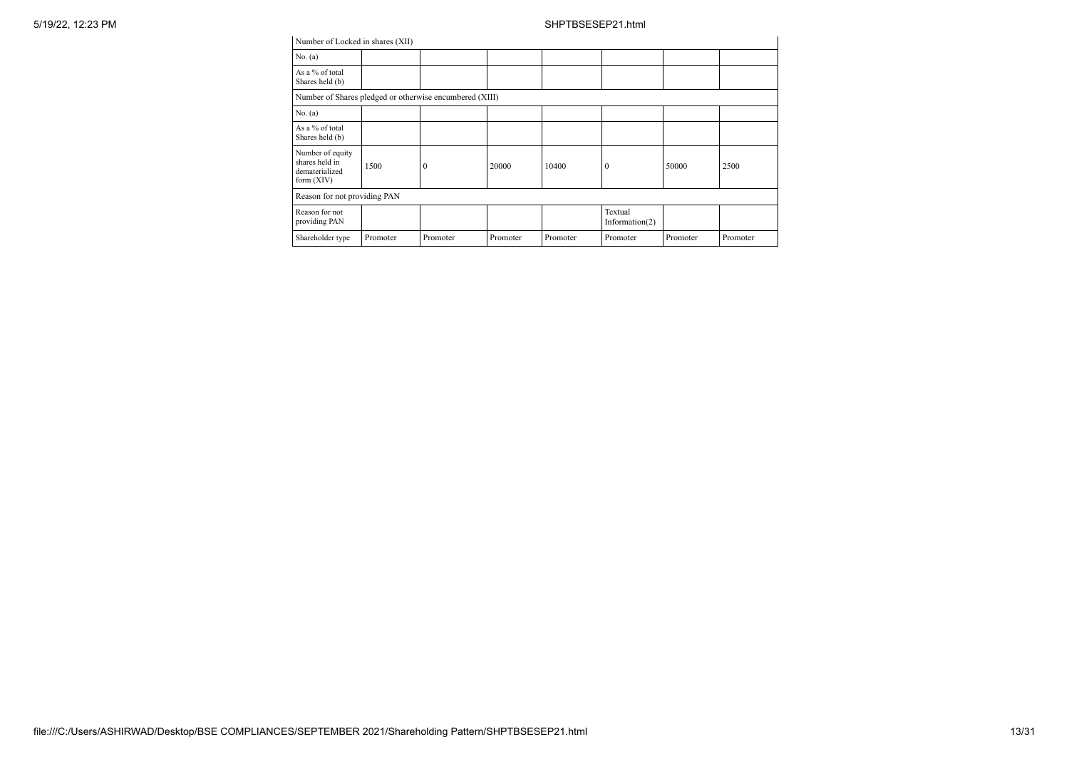| Number of Locked in shares (XII)                                     |          |          |          |          |                              |          |          |
|----------------------------------------------------------------------|----------|----------|----------|----------|------------------------------|----------|----------|
| No. (a)                                                              |          |          |          |          |                              |          |          |
| As a % of total<br>Shares held (b)                                   |          |          |          |          |                              |          |          |
| Number of Shares pledged or otherwise encumbered (XIII)              |          |          |          |          |                              |          |          |
| No. (a)                                                              |          |          |          |          |                              |          |          |
| As a % of total<br>Shares held (b)                                   |          |          |          |          |                              |          |          |
| Number of equity<br>shares held in<br>dematerialized<br>form $(XIV)$ | 1500     | $\theta$ | 20000    | 10400    | $\mathbf{0}$                 | 50000    | 2500     |
| Reason for not providing PAN                                         |          |          |          |          |                              |          |          |
| Reason for not<br>providing PAN                                      |          |          |          |          | Textual<br>Information $(2)$ |          |          |
| Shareholder type                                                     | Promoter | Promoter | Promoter | Promoter | Promoter                     | Promoter | Promoter |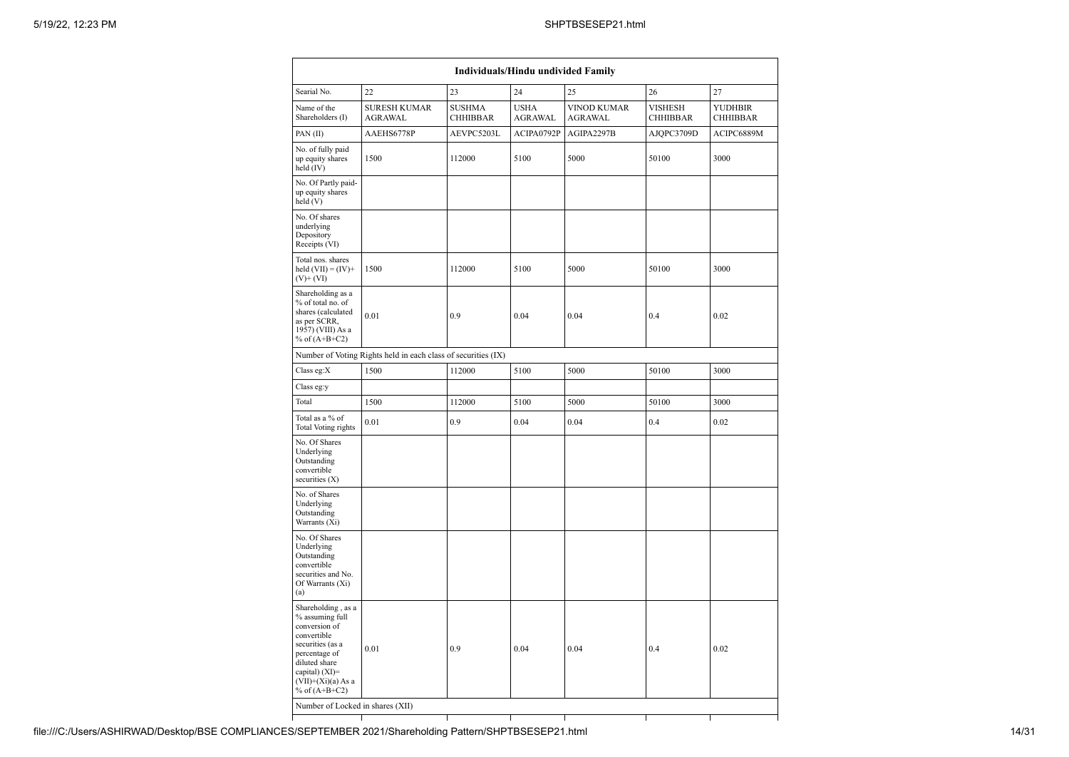|                                                                                                                                                                                          | Individuals/Hindu undivided Family                            |                                  |                               |                               |                                   |                                   |  |
|------------------------------------------------------------------------------------------------------------------------------------------------------------------------------------------|---------------------------------------------------------------|----------------------------------|-------------------------------|-------------------------------|-----------------------------------|-----------------------------------|--|
| Searial No.                                                                                                                                                                              | 22                                                            | 23                               | 24                            | 25                            | 26                                | 27                                |  |
| Name of the<br>Shareholders (I)                                                                                                                                                          | <b>SURESH KUMAR</b><br><b>AGRAWAL</b>                         | <b>SUSHMA</b><br><b>CHHIBBAR</b> | <b>USHA</b><br><b>AGRAWAL</b> | VINOD KUMAR<br><b>AGRAWAL</b> | <b>VISHESH</b><br><b>CHHIBBAR</b> | <b>YUDHBIR</b><br><b>CHHIBBAR</b> |  |
| PAN(II)                                                                                                                                                                                  | AAEHS6778P                                                    | AEVPC5203L                       | ACIPA0792P                    | AGIPA2297B                    | AJQPC3709D                        | ACIPC6889M                        |  |
| No. of fully paid<br>up equity shares<br>held (IV)                                                                                                                                       | 1500                                                          | 112000                           | 5100                          | 5000                          | 50100                             | 3000                              |  |
| No. Of Partly paid-<br>up equity shares<br>held(V)                                                                                                                                       |                                                               |                                  |                               |                               |                                   |                                   |  |
| No. Of shares<br>underlying<br>Depository<br>Receipts (VI)                                                                                                                               |                                                               |                                  |                               |                               |                                   |                                   |  |
| Total nos. shares<br>held $(VII) = (IV) +$<br>$(V)+(VI)$                                                                                                                                 | 1500                                                          | 112000                           | 5100                          | 5000                          | 50100                             | 3000                              |  |
| Shareholding as a<br>% of total no. of<br>shares (calculated<br>as per SCRR,<br>1957) (VIII) As a<br>% of $(A+B+C2)$                                                                     | 0.01                                                          | 0.9                              | 0.04                          | 0.04                          | 0.4                               | 0.02                              |  |
|                                                                                                                                                                                          | Number of Voting Rights held in each class of securities (IX) |                                  |                               |                               |                                   |                                   |  |
| Class eg:X                                                                                                                                                                               | 1500                                                          | 112000                           | 5100                          | 5000                          | 50100                             | 3000                              |  |
| Class eg:y                                                                                                                                                                               |                                                               |                                  |                               |                               |                                   |                                   |  |
| Total                                                                                                                                                                                    | 1500                                                          | 112000                           | 5100                          | 5000                          | 50100                             | 3000                              |  |
| Total as a % of<br>Total Voting rights                                                                                                                                                   | 0.01                                                          | 0.9                              | 0.04                          | 0.04                          | 0.4                               | 0.02                              |  |
| No. Of Shares<br>Underlying<br>Outstanding<br>convertible<br>securities (X)                                                                                                              |                                                               |                                  |                               |                               |                                   |                                   |  |
| No. of Shares<br>Underlying<br>Outstanding<br>Warrants (Xi)                                                                                                                              |                                                               |                                  |                               |                               |                                   |                                   |  |
| No. Of Shares<br>Underlying<br>Outstanding<br>convertible<br>securities and No.<br>Of Warrants (Xi)<br>(a)                                                                               |                                                               |                                  |                               |                               |                                   |                                   |  |
| Shareholding, as a<br>% assuming full<br>conversion of<br>convertible<br>securities (as a<br>percentage of<br>diluted share<br>capital) (XI)=<br>$(VII)+(Xi)(a)$ As a<br>% of $(A+B+C2)$ | 0.01                                                          | 0.9                              | 0.04                          | 0.04                          | 0.4                               | 0.02                              |  |
| Number of Locked in shares (XII)                                                                                                                                                         |                                                               |                                  |                               |                               |                                   |                                   |  |
|                                                                                                                                                                                          |                                                               |                                  |                               |                               |                                   |                                   |  |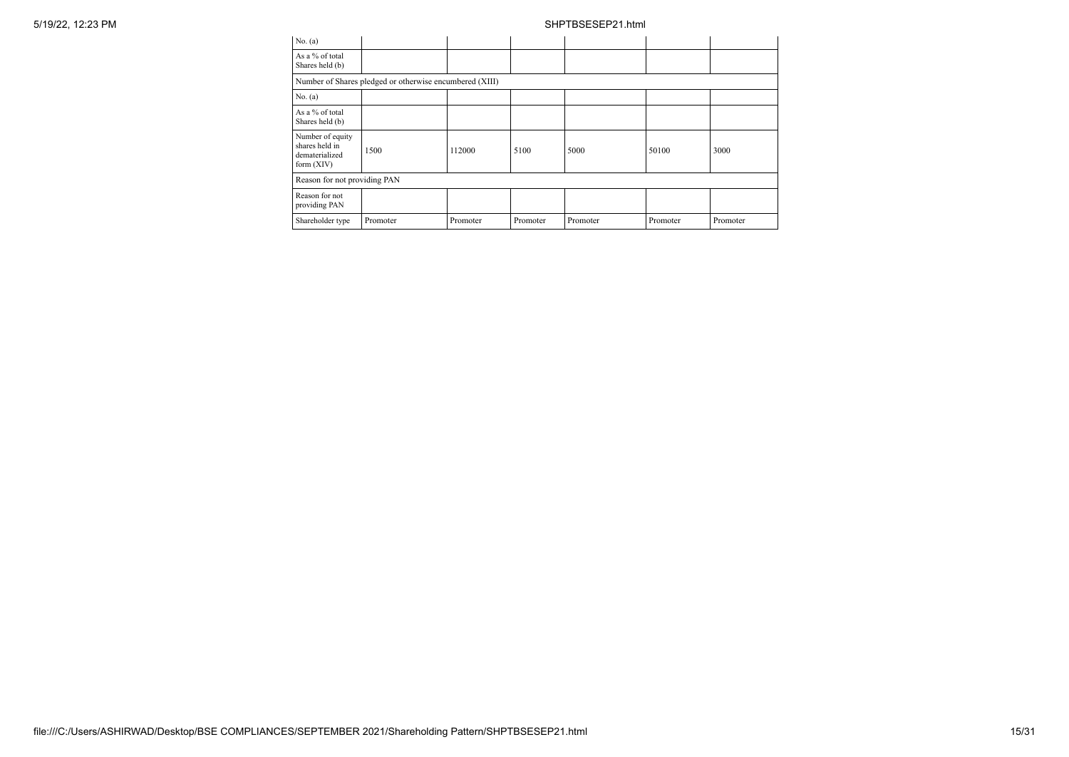| No. (a)                                                              |                                                         |          |          |          |          |          |
|----------------------------------------------------------------------|---------------------------------------------------------|----------|----------|----------|----------|----------|
| As a % of total<br>Shares held (b)                                   |                                                         |          |          |          |          |          |
|                                                                      | Number of Shares pledged or otherwise encumbered (XIII) |          |          |          |          |          |
| No. (a)                                                              |                                                         |          |          |          |          |          |
| As a % of total<br>Shares held (b)                                   |                                                         |          |          |          |          |          |
| Number of equity<br>shares held in<br>dematerialized<br>form $(XIV)$ | 1500                                                    | 112000   | 5100     | 5000     | 50100    | 3000     |
| Reason for not providing PAN                                         |                                                         |          |          |          |          |          |
| Reason for not<br>providing PAN                                      |                                                         |          |          |          |          |          |
| Shareholder type                                                     | Promoter                                                | Promoter | Promoter | Promoter | Promoter | Promoter |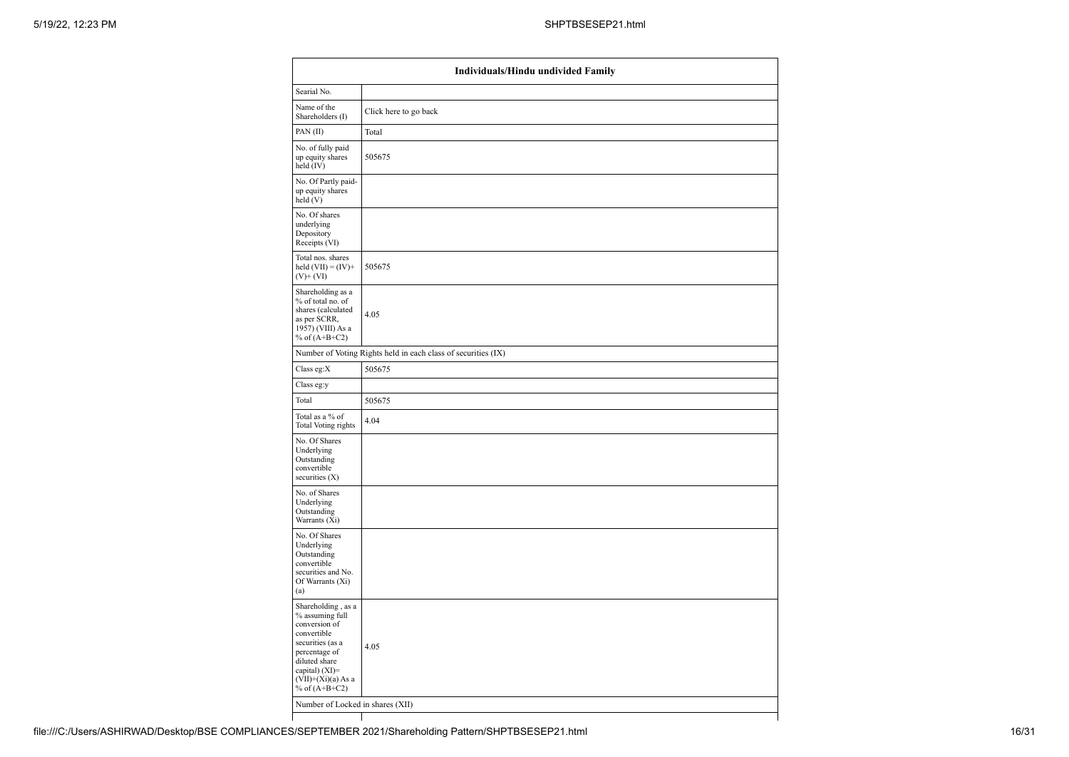| Individuals/Hindu undivided Family                                                                                                                                                       |                                                               |  |  |  |  |  |
|------------------------------------------------------------------------------------------------------------------------------------------------------------------------------------------|---------------------------------------------------------------|--|--|--|--|--|
| Searial No.                                                                                                                                                                              |                                                               |  |  |  |  |  |
| Name of the<br>Shareholders (I)                                                                                                                                                          | Click here to go back                                         |  |  |  |  |  |
| PAN(II)                                                                                                                                                                                  | Total                                                         |  |  |  |  |  |
| No. of fully paid<br>up equity shares<br>held (IV)                                                                                                                                       | 505675                                                        |  |  |  |  |  |
| No. Of Partly paid-<br>up equity shares<br>held (V)                                                                                                                                      |                                                               |  |  |  |  |  |
| No. Of shares<br>underlying<br>Depository<br>Receipts (VI)                                                                                                                               |                                                               |  |  |  |  |  |
| Total nos. shares<br>held $(VII) = (IV) +$<br>$(V)$ + $(VI)$                                                                                                                             | 505675                                                        |  |  |  |  |  |
| Shareholding as a<br>% of total no. of<br>shares (calculated<br>as per SCRR,<br>1957) (VIII) As a<br>% of $(A+B+C2)$                                                                     | 4.05                                                          |  |  |  |  |  |
|                                                                                                                                                                                          | Number of Voting Rights held in each class of securities (IX) |  |  |  |  |  |
| Class eg:X                                                                                                                                                                               | 505675                                                        |  |  |  |  |  |
| Class eg:y                                                                                                                                                                               |                                                               |  |  |  |  |  |
| Total                                                                                                                                                                                    | 505675                                                        |  |  |  |  |  |
| Total as a % of<br>Total Voting rights                                                                                                                                                   | 4.04                                                          |  |  |  |  |  |
| No. Of Shares<br>Underlying<br>Outstanding<br>convertible<br>securities $(X)$                                                                                                            |                                                               |  |  |  |  |  |
| No. of Shares<br>Underlying<br>Outstanding<br>Warrants (Xi)                                                                                                                              |                                                               |  |  |  |  |  |
| No. Of Shares<br>Underlying<br>Outstanding<br>convertible<br>securities and No.<br>Of Warrants (Xi)<br>(a)                                                                               |                                                               |  |  |  |  |  |
| Shareholding, as a<br>% assuming full<br>conversion of<br>convertible<br>securities (as a<br>percentage of<br>diluted share<br>capital) (XI)=<br>$(VII)+(Xi)(a)$ As a<br>% of $(A+B+C2)$ | 4.05                                                          |  |  |  |  |  |
| Number of Locked in shares (XII)                                                                                                                                                         |                                                               |  |  |  |  |  |
|                                                                                                                                                                                          |                                                               |  |  |  |  |  |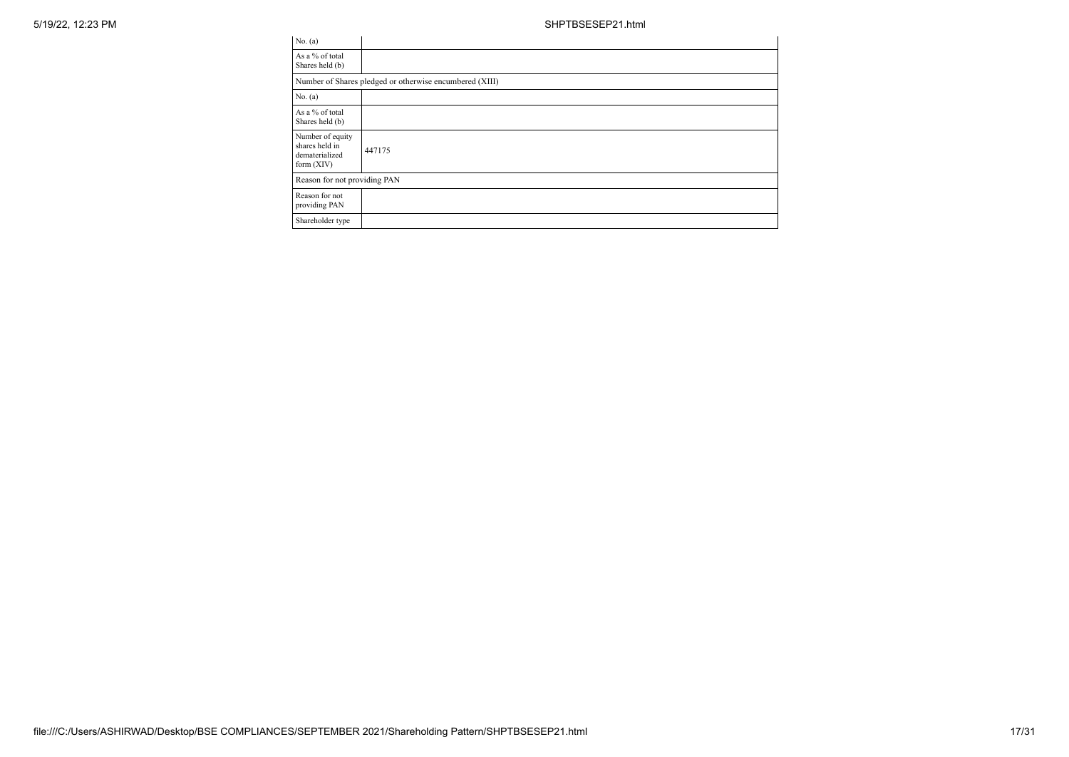| No. (a)                                                              |                                                         |
|----------------------------------------------------------------------|---------------------------------------------------------|
| As a % of total<br>Shares held (b)                                   |                                                         |
|                                                                      | Number of Shares pledged or otherwise encumbered (XIII) |
| No. (a)                                                              |                                                         |
| As a % of total<br>Shares held (b)                                   |                                                         |
| Number of equity<br>shares held in<br>dematerialized<br>form $(XIV)$ | 447175                                                  |
| Reason for not providing PAN                                         |                                                         |
| Reason for not<br>providing PAN                                      |                                                         |
| Shareholder type                                                     |                                                         |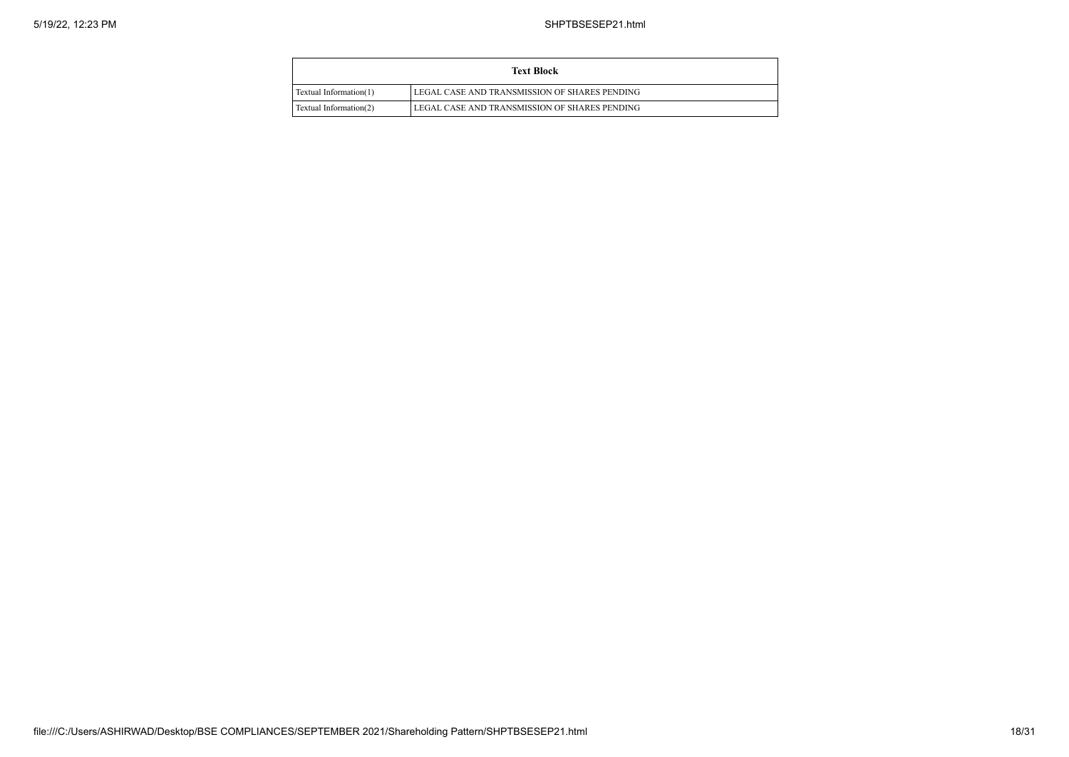| <b>Text Block</b>      |                                               |  |  |  |  |
|------------------------|-----------------------------------------------|--|--|--|--|
| Textual Information(1) | LEGAL CASE AND TRANSMISSION OF SHARES PENDING |  |  |  |  |
| Textual Information(2) | LEGAL CASE AND TRANSMISSION OF SHARES PENDING |  |  |  |  |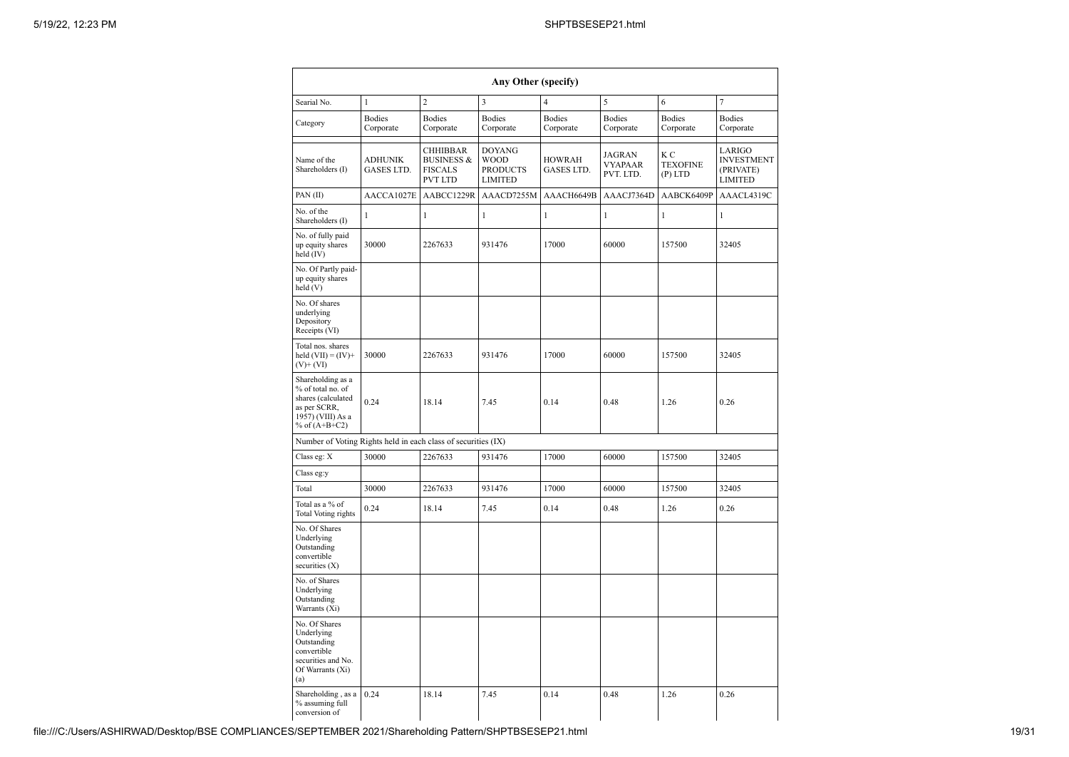|                                                                                                                      |                              |                                                                              | Any Other (specify)                                               |                             |                                              |                                    |                                                            |
|----------------------------------------------------------------------------------------------------------------------|------------------------------|------------------------------------------------------------------------------|-------------------------------------------------------------------|-----------------------------|----------------------------------------------|------------------------------------|------------------------------------------------------------|
| Searial No.                                                                                                          | $\mathbf{1}$                 | $\overline{c}$                                                               | $\overline{\mathbf{3}}$                                           | $\overline{4}$              | 5                                            | 6                                  | $\tau$                                                     |
| Category                                                                                                             | <b>Bodies</b><br>Corporate   | <b>Bodies</b><br>Corporate                                                   | <b>Bodies</b><br>Corporate                                        | <b>Bodies</b><br>Corporate  | <b>Bodies</b><br>Corporate                   | <b>Bodies</b><br>Corporate         | <b>Bodies</b><br>Corporate                                 |
| Name of the<br>Shareholders (I)                                                                                      | <b>ADHUNIK</b><br>GASES LTD. | <b>CHHIBBAR</b><br><b>BUSINESS &amp;</b><br><b>FISCALS</b><br><b>PVT LTD</b> | <b>DOYANG</b><br><b>WOOD</b><br><b>PRODUCTS</b><br><b>LIMITED</b> | <b>HOWRAH</b><br>GASES LTD. | <b>JAGRAN</b><br><b>VYAPAAR</b><br>PVT. LTD. | КC<br><b>TEXOFINE</b><br>$(P)$ LTD | LARIGO<br><b>INVESTMENT</b><br>(PRIVATE)<br><b>LIMITED</b> |
| PAN(II)                                                                                                              | AACCA1027E                   | AABCC1229R                                                                   | AAACD7255M                                                        | AAACH6649B                  | AAACJ7364D                                   | AABCK6409P                         | AAACL4319C                                                 |
| No. of the<br>Shareholders (I)                                                                                       | $\mathbf{1}$                 | $\mathbf{1}$                                                                 | $\mathbf{1}$                                                      | $\mathbf{1}$                | $\mathbf{1}$                                 | $\mathbf{1}$                       | $\mathbf{1}$                                               |
| No. of fully paid<br>up equity shares<br>held (IV)                                                                   | 30000                        | 2267633                                                                      | 931476                                                            | 17000                       | 60000                                        | 157500                             | 32405                                                      |
| No. Of Partly paid-<br>up equity shares<br>held(V)                                                                   |                              |                                                                              |                                                                   |                             |                                              |                                    |                                                            |
| No. Of shares<br>underlying<br>Depository<br>Receipts (VI)                                                           |                              |                                                                              |                                                                   |                             |                                              |                                    |                                                            |
| Total nos. shares<br>held $(VII) = (IV) +$<br>$(V)+(VI)$                                                             | 30000                        | 2267633                                                                      | 931476                                                            | 17000                       | 60000                                        | 157500                             | 32405                                                      |
| Shareholding as a<br>% of total no. of<br>shares (calculated<br>as per SCRR,<br>1957) (VIII) As a<br>% of $(A+B+C2)$ | 0.24                         | 18.14                                                                        | 7.45                                                              | 0.14                        | 0.48                                         | 1.26                               | 0.26                                                       |
| Number of Voting Rights held in each class of securities (IX)                                                        |                              |                                                                              |                                                                   |                             |                                              |                                    |                                                            |
| Class eg: X                                                                                                          | 30000                        | 2267633                                                                      | 931476                                                            | 17000                       | 60000                                        | 157500                             | 32405                                                      |
| Class eg:y                                                                                                           |                              |                                                                              |                                                                   |                             |                                              |                                    |                                                            |
| Total                                                                                                                | 30000                        | 2267633                                                                      | 931476                                                            | 17000                       | 60000                                        | 157500                             | 32405                                                      |
| Total as a % of<br>Total Voting rights                                                                               | 0.24                         | 18.14                                                                        | 7.45                                                              | 0.14                        | 0.48                                         | 1.26                               | 0.26                                                       |
| No. Of Shares<br>Underlying<br>Outstanding<br>convertible<br>securities $(X)$                                        |                              |                                                                              |                                                                   |                             |                                              |                                    |                                                            |
| No. of Shares<br>Underlying<br>Outstanding<br>Warrants (Xi)                                                          |                              |                                                                              |                                                                   |                             |                                              |                                    |                                                            |
| No. Of Shares<br>Underlying<br>Outstanding<br>convertible<br>securities and No.<br>Of Warrants (Xi)<br>(a)           |                              |                                                                              |                                                                   |                             |                                              |                                    |                                                            |
| Shareholding, as a<br>% assuming full<br>conversion of                                                               | 0.24                         | 18.14                                                                        | 7.45                                                              | 0.14                        | 0.48                                         | 1.26                               | 0.26                                                       |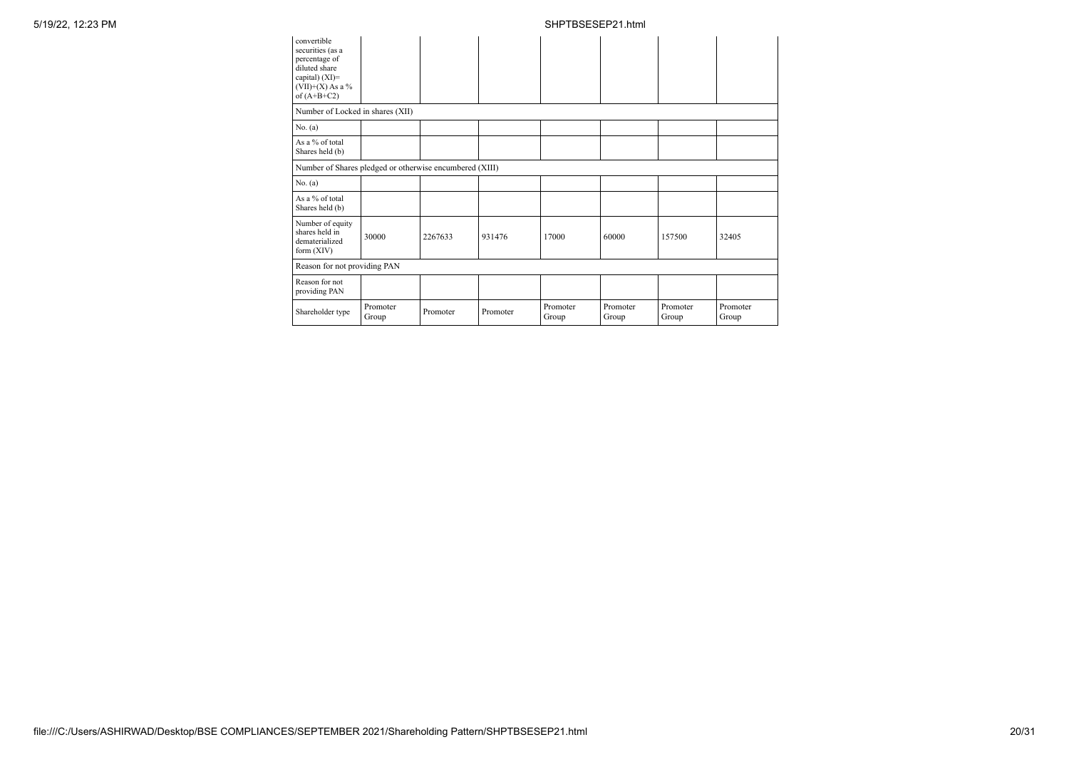| convertible<br>securities (as a<br>percentage of<br>diluted share<br>capital) (XI)=<br>$(VII)+(X)$ As a %<br>of $(A+B+C2)$ |                   |          |          |                   |                   |                   |                   |
|----------------------------------------------------------------------------------------------------------------------------|-------------------|----------|----------|-------------------|-------------------|-------------------|-------------------|
| Number of Locked in shares (XII)                                                                                           |                   |          |          |                   |                   |                   |                   |
| No. (a)                                                                                                                    |                   |          |          |                   |                   |                   |                   |
| As a % of total<br>Shares held (b)                                                                                         |                   |          |          |                   |                   |                   |                   |
| Number of Shares pledged or otherwise encumbered (XIII)                                                                    |                   |          |          |                   |                   |                   |                   |
| No. (a)                                                                                                                    |                   |          |          |                   |                   |                   |                   |
| As a % of total<br>Shares held (b)                                                                                         |                   |          |          |                   |                   |                   |                   |
| Number of equity<br>shares held in<br>dematerialized<br>form $(XIV)$                                                       | 30000             | 2267633  | 931476   | 17000             | 60000             | 157500            | 32405             |
| Reason for not providing PAN                                                                                               |                   |          |          |                   |                   |                   |                   |
| Reason for not<br>providing PAN                                                                                            |                   |          |          |                   |                   |                   |                   |
| Shareholder type                                                                                                           | Promoter<br>Group | Promoter | Promoter | Promoter<br>Group | Promoter<br>Group | Promoter<br>Group | Promoter<br>Group |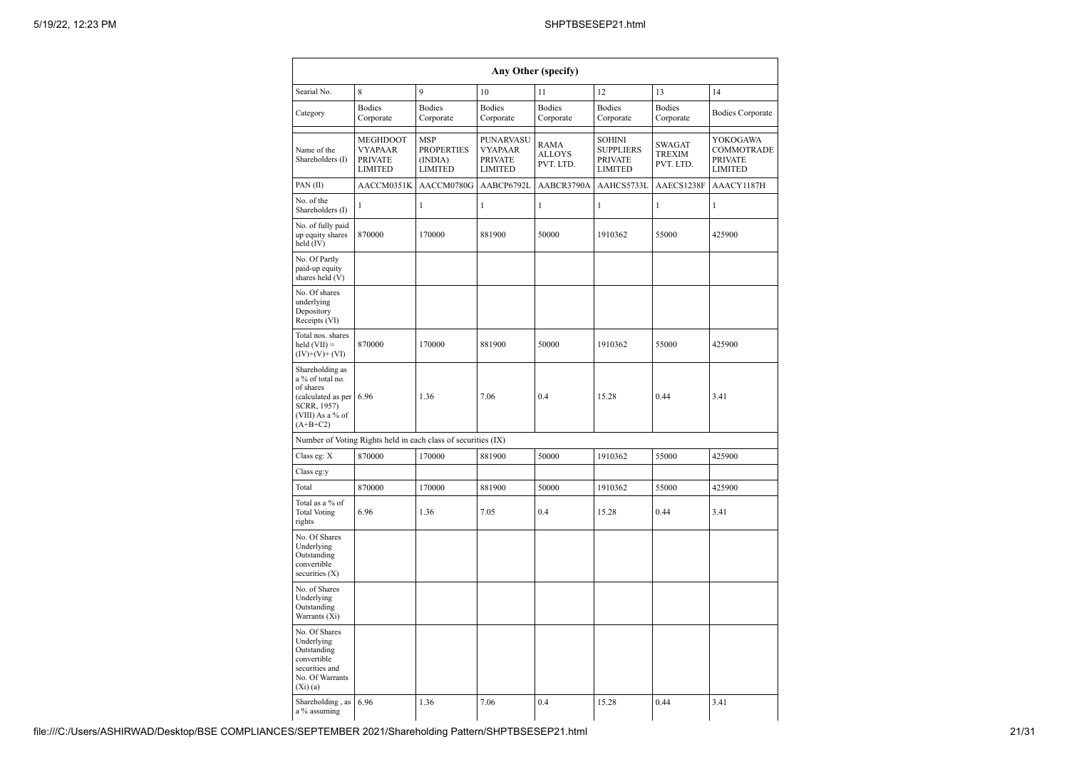|                                                                                                                              |                                                                |                                                              |                                                                 | Any Other (specify)                |                                                                       |                                      |                                                            |
|------------------------------------------------------------------------------------------------------------------------------|----------------------------------------------------------------|--------------------------------------------------------------|-----------------------------------------------------------------|------------------------------------|-----------------------------------------------------------------------|--------------------------------------|------------------------------------------------------------|
| Searial No.                                                                                                                  | 8                                                              | 9                                                            | 10                                                              | 11                                 | 12                                                                    | 13                                   | 14                                                         |
| Category                                                                                                                     | <b>Bodies</b><br>Corporate                                     | <b>Bodies</b><br>Corporate                                   | <b>Bodies</b><br>Corporate                                      | <b>Bodies</b><br>Corporate         | <b>Bodies</b><br>Corporate                                            | <b>Bodies</b><br>Corporate           | <b>Bodies Corporate</b>                                    |
| Name of the<br>Shareholders (I)                                                                                              | MEGHDOOT<br><b>VYAPAAR</b><br><b>PRIVATE</b><br><b>LIMITED</b> | <b>MSP</b><br><b>PROPERTIES</b><br>(INDIA)<br><b>LIMITED</b> | PUNARVASU<br><b>VYAPAAR</b><br><b>PRIVATE</b><br><b>LIMITED</b> | RAMA<br><b>ALLOYS</b><br>PVT. LTD. | <b>SOHINI</b><br><b>SUPPLIERS</b><br><b>PRIVATE</b><br><b>LIMITED</b> | SWAGAT<br><b>TREXIM</b><br>PVT. LTD. | YOKOGAWA<br>COMMOTRADE<br><b>PRIVATE</b><br><b>LIMITED</b> |
| PAN(II)                                                                                                                      | AACCM0351K                                                     | AACCM0780G                                                   | AABCP6792L                                                      | AABCR3790A                         | AAHCS5733L                                                            | AAECS1238F                           | AAACY1187H                                                 |
| No. of the<br>Shareholders (I)                                                                                               | 1                                                              | $\mathbf{1}$                                                 | $\mathbf{1}$                                                    | 1                                  | 1                                                                     | $\mathbf{1}$                         | 1                                                          |
| No. of fully paid<br>up equity shares<br>held (IV)                                                                           | 870000                                                         | 170000                                                       | 881900                                                          | 50000                              | 1910362                                                               | 55000                                | 425900                                                     |
| No. Of Partly<br>paid-up equity<br>shares held (V)                                                                           |                                                                |                                                              |                                                                 |                                    |                                                                       |                                      |                                                            |
| No. Of shares<br>underlying<br>Depository<br>Receipts (VI)                                                                   |                                                                |                                                              |                                                                 |                                    |                                                                       |                                      |                                                            |
| Total nos. shares<br>$\text{held (VII)} =$<br>$(IV)+(V)+(VI)$                                                                | 870000                                                         | 170000                                                       | 881900                                                          | 50000                              | 1910362                                                               | 55000                                | 425900                                                     |
| Shareholding as<br>a % of total no.<br>of shares<br>(calculated as per 6.96<br>SCRR, 1957)<br>(VIII) As a % of<br>$(A+B+C2)$ |                                                                | 1.36                                                         | 7.06                                                            | 0.4                                | 15.28                                                                 | 0.44                                 | 3.41                                                       |
|                                                                                                                              | Number of Voting Rights held in each class of securities (IX)  |                                                              |                                                                 |                                    |                                                                       |                                      |                                                            |
| Class eg: X                                                                                                                  | 870000                                                         | 170000                                                       | 881900                                                          | 50000                              | 1910362                                                               | 55000                                | 425900                                                     |
| Class eg:y                                                                                                                   |                                                                |                                                              |                                                                 |                                    |                                                                       |                                      |                                                            |
| Total                                                                                                                        | 870000                                                         | 170000                                                       | 881900                                                          | 50000                              | 1910362                                                               | 55000                                | 425900                                                     |
| Total as a % of<br><b>Total Voting</b><br>rights                                                                             | 6.96                                                           | 1.36                                                         | 7.05                                                            | 0.4                                | 15.28                                                                 | 0.44                                 | 3.41                                                       |
| No. Of Shares<br>Underlying<br>Outstanding<br>convertible<br>securities (X)                                                  |                                                                |                                                              |                                                                 |                                    |                                                                       |                                      |                                                            |
| No. of Shares<br>Underlying<br>Outstanding<br>Warrants (Xi)                                                                  |                                                                |                                                              |                                                                 |                                    |                                                                       |                                      |                                                            |
| No. Of Shares<br>Underlying<br>Outstanding<br>convertible<br>securities and<br>No. Of Warrants<br>$(X_i)(a)$                 |                                                                |                                                              |                                                                 |                                    |                                                                       |                                      |                                                            |
| Shareholding, as<br>a % assuming                                                                                             | 6.96                                                           | 1.36                                                         | 7.06                                                            | 0.4                                | 15.28                                                                 | 0.44                                 | 3.41                                                       |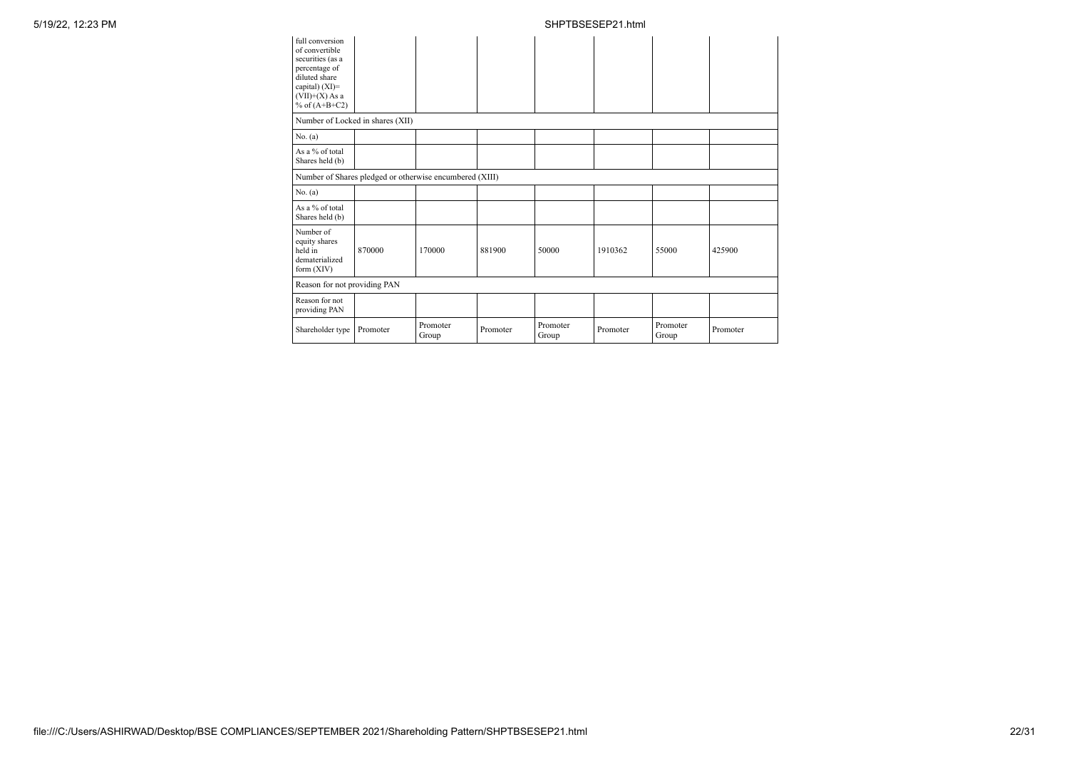| full conversion<br>of convertible<br>securities (as a<br>percentage of<br>diluted share<br>capital) (XI)=<br>$(VII)+(X)$ As a<br>% of $(A+B+C2)$ |                                                         |                   |          |                   |          |                   |          |
|--------------------------------------------------------------------------------------------------------------------------------------------------|---------------------------------------------------------|-------------------|----------|-------------------|----------|-------------------|----------|
| Number of Locked in shares (XII)                                                                                                                 |                                                         |                   |          |                   |          |                   |          |
| No. (a)                                                                                                                                          |                                                         |                   |          |                   |          |                   |          |
| As a % of total<br>Shares held (b)                                                                                                               |                                                         |                   |          |                   |          |                   |          |
|                                                                                                                                                  | Number of Shares pledged or otherwise encumbered (XIII) |                   |          |                   |          |                   |          |
| No. (a)                                                                                                                                          |                                                         |                   |          |                   |          |                   |          |
| As a % of total<br>Shares held (b)                                                                                                               |                                                         |                   |          |                   |          |                   |          |
| Number of<br>equity shares<br>held in<br>dematerialized<br>form $(XIV)$                                                                          | 870000                                                  | 170000            | 881900   | 50000             | 1910362  | 55000             | 425900   |
| Reason for not providing PAN                                                                                                                     |                                                         |                   |          |                   |          |                   |          |
| Reason for not<br>providing PAN                                                                                                                  |                                                         |                   |          |                   |          |                   |          |
| Shareholder type                                                                                                                                 | Promoter                                                | Promoter<br>Group | Promoter | Promoter<br>Group | Promoter | Promoter<br>Group | Promoter |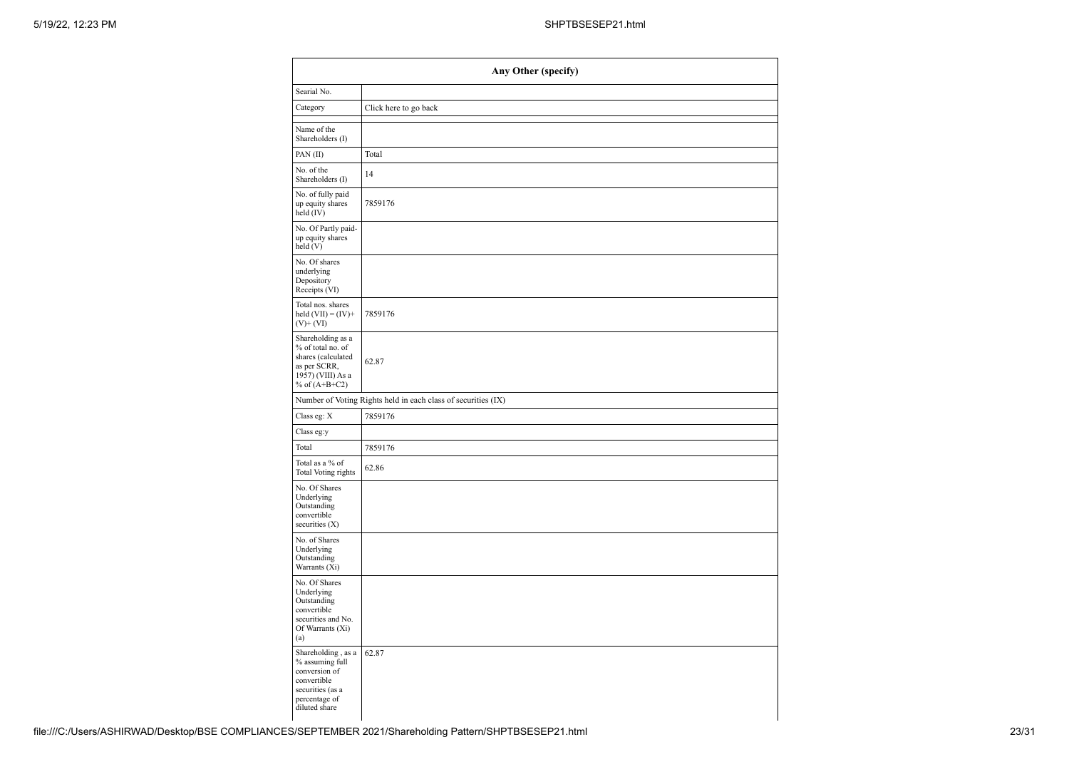| Any Other (specify)                                                                                                         |                                                               |  |  |  |  |  |
|-----------------------------------------------------------------------------------------------------------------------------|---------------------------------------------------------------|--|--|--|--|--|
| Searial No.                                                                                                                 |                                                               |  |  |  |  |  |
| Category                                                                                                                    | Click here to go back                                         |  |  |  |  |  |
| Name of the<br>Shareholders (I)                                                                                             |                                                               |  |  |  |  |  |
| PAN(II)                                                                                                                     | Total                                                         |  |  |  |  |  |
| No. of the<br>Shareholders (I)                                                                                              | 14                                                            |  |  |  |  |  |
| No. of fully paid<br>up equity shares<br>held (IV)                                                                          | 7859176                                                       |  |  |  |  |  |
| No. Of Partly paid-<br>up equity shares<br>held (V)                                                                         |                                                               |  |  |  |  |  |
| No. Of shares<br>underlying<br>Depository<br>Receipts (VI)                                                                  |                                                               |  |  |  |  |  |
| Total nos. shares<br>held $(VII) = (IV) +$<br>$(V)+(VI)$                                                                    | 7859176                                                       |  |  |  |  |  |
| Shareholding as a<br>% of total no. of<br>shares (calculated<br>as per SCRR,<br>1957) (VIII) As a<br>% of $(A+B+C2)$        | 62.87                                                         |  |  |  |  |  |
|                                                                                                                             | Number of Voting Rights held in each class of securities (IX) |  |  |  |  |  |
| Class eg: X                                                                                                                 | 7859176                                                       |  |  |  |  |  |
| Class eg:y                                                                                                                  |                                                               |  |  |  |  |  |
| Total                                                                                                                       | 7859176                                                       |  |  |  |  |  |
| Total as a % of<br>Total Voting rights                                                                                      | 62.86                                                         |  |  |  |  |  |
| No. Of Shares<br>Underlying<br>Outstanding<br>convertible<br>securities (X)                                                 |                                                               |  |  |  |  |  |
| No. of Shares<br>Underlying<br>Outstanding<br>Warrants (Xi)                                                                 |                                                               |  |  |  |  |  |
| No. Of Shares<br>Underlying<br>Outstanding<br>convertible<br>securities and No.<br>Of Warrants (Xi)<br>(a)                  |                                                               |  |  |  |  |  |
| Shareholding, as a<br>% assuming full<br>conversion of<br>convertible<br>securities (as a<br>percentage of<br>diluted share | 62.87                                                         |  |  |  |  |  |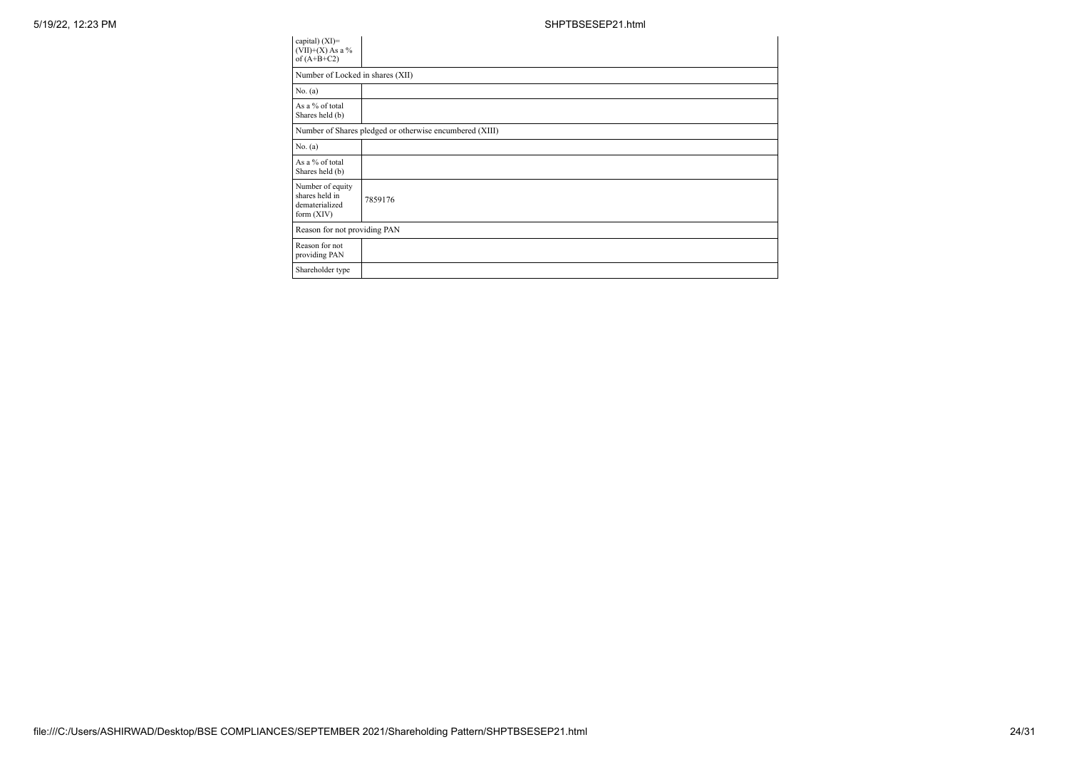| capital) $(XI)=$<br>$(VII)+(X)$ As a %<br>of $(A+B+C2)$              |                                                         |
|----------------------------------------------------------------------|---------------------------------------------------------|
| Number of Locked in shares (XII)                                     |                                                         |
| No. (a)                                                              |                                                         |
| As a % of total<br>Shares held (b)                                   |                                                         |
|                                                                      | Number of Shares pledged or otherwise encumbered (XIII) |
| No. (a)                                                              |                                                         |
| As a % of total<br>Shares held (b)                                   |                                                         |
| Number of equity<br>shares held in<br>dematerialized<br>form $(XIV)$ | 7859176                                                 |
| Reason for not providing PAN                                         |                                                         |
| Reason for not<br>providing PAN                                      |                                                         |
| Shareholder type                                                     |                                                         |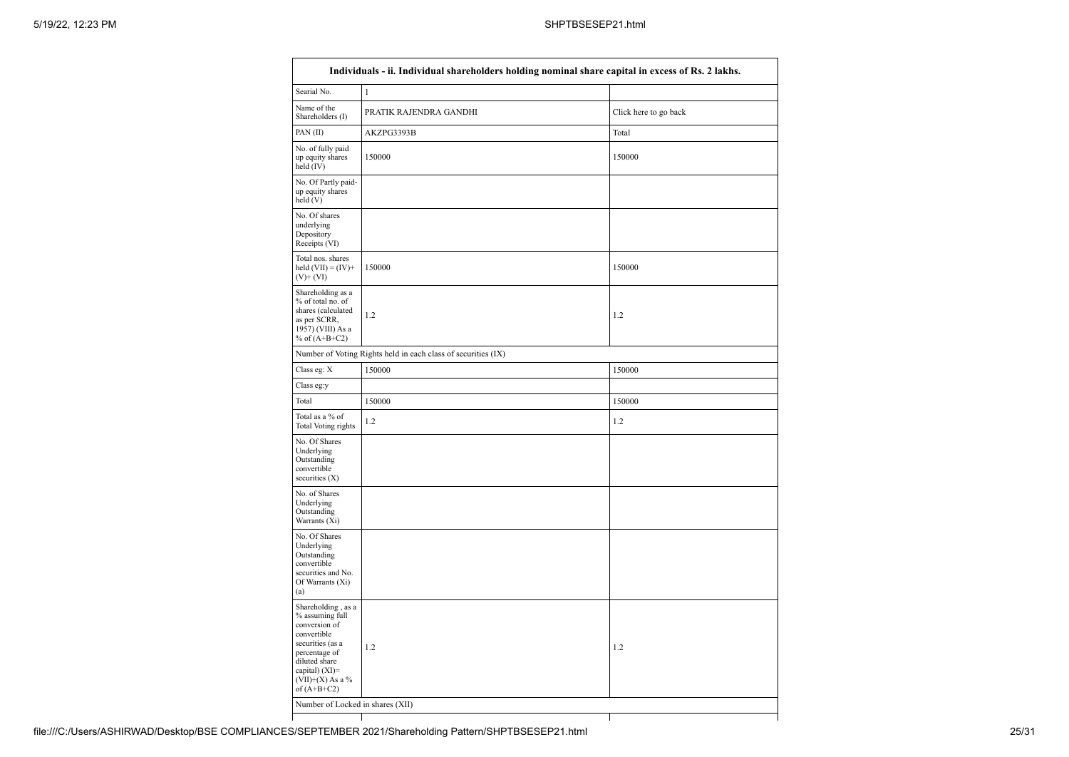| Searial No.                                                                                                                                                                             | 1                                                             |        |
|-----------------------------------------------------------------------------------------------------------------------------------------------------------------------------------------|---------------------------------------------------------------|--------|
| Name of the<br>Shareholders (I)                                                                                                                                                         | PRATIK RAJENDRA GANDHI<br>Click here to go back               |        |
| PAN(II)                                                                                                                                                                                 | AKZPG3393B                                                    | Total  |
| No. of fully paid<br>up equity shares<br>held (IV)                                                                                                                                      | 150000                                                        | 150000 |
| No. Of Partly paid-<br>up equity shares<br>held (V)                                                                                                                                     |                                                               |        |
| No. Of shares<br>underlying<br>Depository<br>Receipts (VI)                                                                                                                              |                                                               |        |
| Total nos. shares<br>held $(VII) = (IV) +$<br>$(V)+(VI)$                                                                                                                                | 150000                                                        | 150000 |
| Shareholding as a<br>% of total no. of<br>shares (calculated<br>as per SCRR,<br>1957) (VIII) As a<br>% of $(A+B+C2)$                                                                    | 1.2                                                           | 1.2    |
|                                                                                                                                                                                         | Number of Voting Rights held in each class of securities (IX) |        |
| Class eg: X                                                                                                                                                                             | 150000                                                        | 150000 |
| Class eg:y                                                                                                                                                                              |                                                               |        |
| Total                                                                                                                                                                                   | 150000                                                        | 150000 |
| Total as a % of<br>Total Voting rights                                                                                                                                                  | 1.2                                                           | 1.2    |
| No. Of Shares<br>Underlying<br>Outstanding<br>convertible<br>securities $(X)$                                                                                                           |                                                               |        |
| No. of Shares<br>Underlying<br>Outstanding<br>Warrants (Xi)                                                                                                                             |                                                               |        |
| No. Of Shares<br>Underlying<br>Outstanding<br>convertible<br>securities and No.<br>Of Warrants (Xi)<br>(a)                                                                              |                                                               |        |
| Shareholding, as a<br>% assuming full<br>conversion of<br>convertible<br>securities (as a<br>percentage of<br>diluted share<br>capital) $(XI)$ =<br>$(VII)+(X)$ As a %<br>of $(A+B+C2)$ | 1.2                                                           | 1.2    |
|                                                                                                                                                                                         |                                                               |        |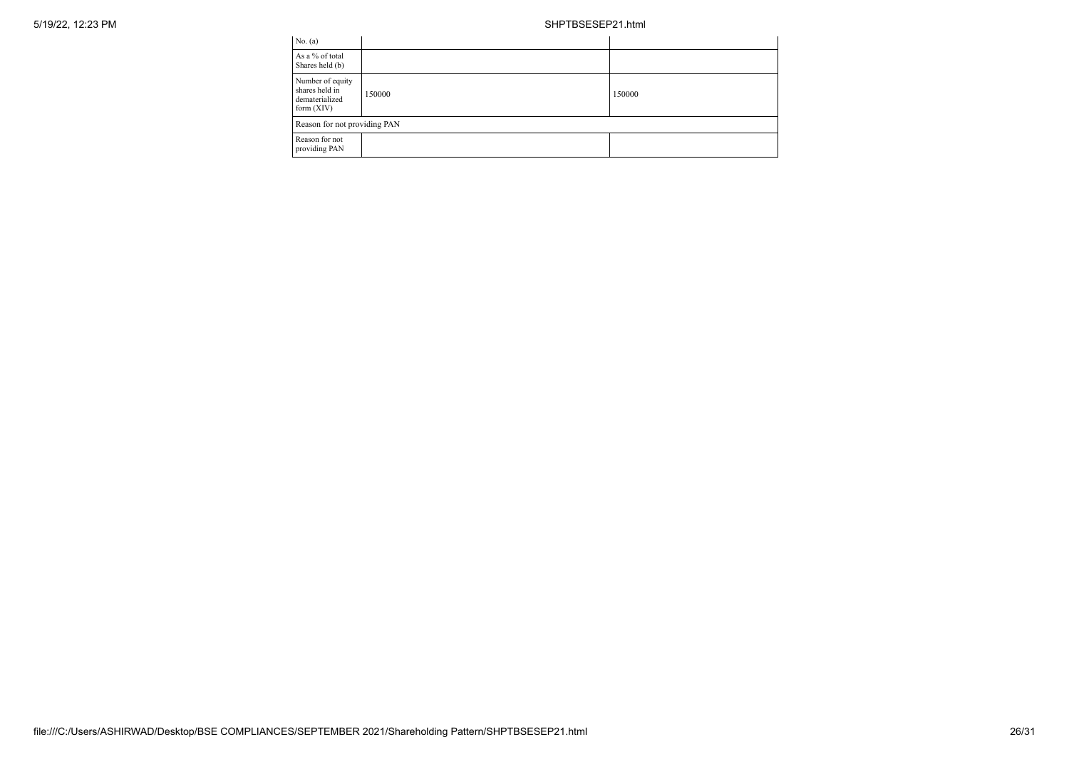| No. (a)                                                              |        |        |  |  |
|----------------------------------------------------------------------|--------|--------|--|--|
| As a % of total<br>Shares held (b)                                   |        |        |  |  |
| Number of equity<br>shares held in<br>dematerialized<br>form $(XIV)$ | 150000 | 150000 |  |  |
| Reason for not providing PAN                                         |        |        |  |  |
| Reason for not<br>providing PAN                                      |        |        |  |  |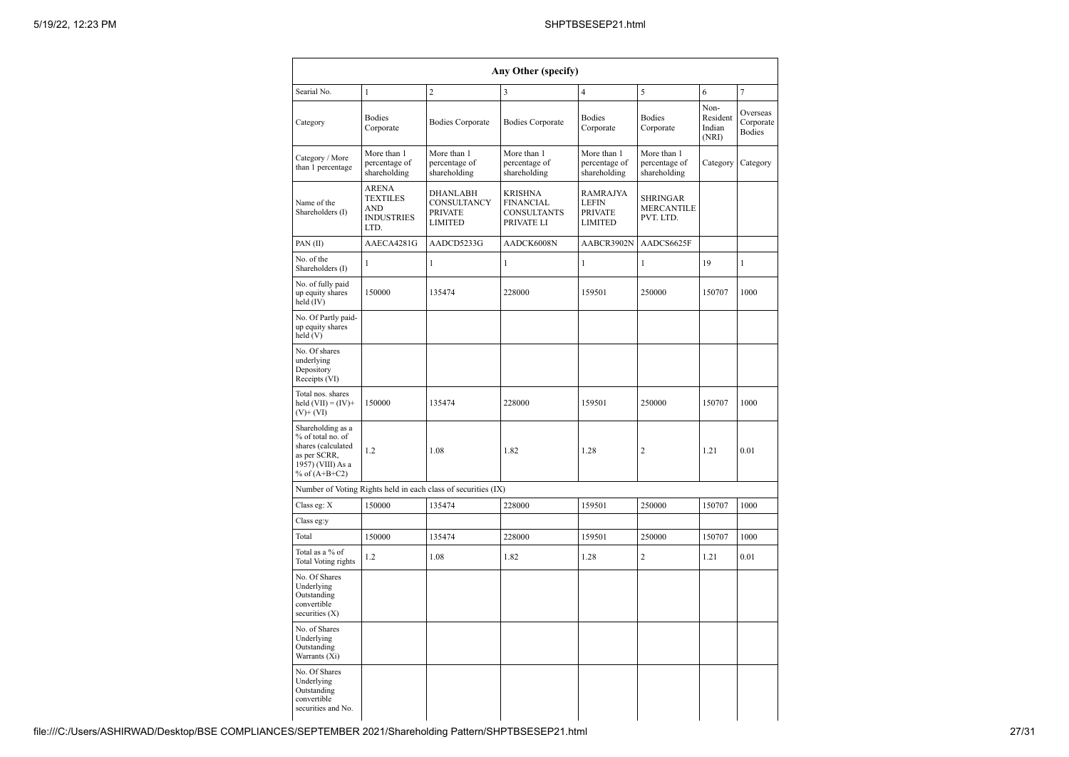|                                                                                                                      |                                                                            |                                                               | Any Other (specify)                                                    |                                                |                                                   |                                     |                                        |
|----------------------------------------------------------------------------------------------------------------------|----------------------------------------------------------------------------|---------------------------------------------------------------|------------------------------------------------------------------------|------------------------------------------------|---------------------------------------------------|-------------------------------------|----------------------------------------|
| Searial No.                                                                                                          | 1                                                                          | $\overline{c}$                                                | 3                                                                      | $\overline{4}$                                 | 5                                                 | 6                                   | $\tau$                                 |
| Category                                                                                                             | <b>Bodies</b><br>Corporate                                                 | <b>Bodies Corporate</b>                                       | <b>Bodies Corporate</b>                                                | <b>Bodies</b><br>Corporate                     | <b>Bodies</b><br>Corporate                        | Non-<br>Resident<br>Indian<br>(NRI) | Overseas<br>Corporate<br><b>Bodies</b> |
| Category / More<br>than 1 percentage                                                                                 | More than 1<br>percentage of<br>shareholding                               | More than 1<br>percentage of<br>shareholding                  | More than 1<br>percentage of<br>shareholding                           | More than 1<br>percentage of<br>shareholding   | More than 1<br>percentage of<br>shareholding      | Category                            | Category                               |
| Name of the<br>Shareholders (I)                                                                                      | <b>ARENA</b><br><b>TEXTILES</b><br><b>AND</b><br><b>INDUSTRIES</b><br>LTD. | <b>DHANLABH</b><br>CONSULTANCY<br><b>PRIVATE</b><br>LIMITED   | <b>KRISHNA</b><br><b>FINANCIAL</b><br><b>CONSULTANTS</b><br>PRIVATE LI | RAMRAJYA<br><b>LEFIN</b><br>PRIVATE<br>LIMITED | <b>SHRINGAR</b><br><b>MERCANTILE</b><br>PVT. LTD. |                                     |                                        |
| PAN(II)                                                                                                              | AAECA4281G                                                                 | AADCD5233G                                                    | AADCK6008N                                                             | AABCR3902N                                     | AADCS6625F                                        |                                     |                                        |
| No. of the<br>Shareholders (I)                                                                                       | 1                                                                          | 1                                                             | 1                                                                      | 1                                              | 1                                                 | 19                                  | 1                                      |
| No. of fully paid<br>up equity shares<br>held (IV)                                                                   | 150000                                                                     | 135474                                                        | 228000                                                                 | 159501                                         | 250000                                            | 150707                              | 1000                                   |
| No. Of Partly paid-<br>up equity shares<br>held(V)                                                                   |                                                                            |                                                               |                                                                        |                                                |                                                   |                                     |                                        |
| No. Of shares<br>underlying<br>Depository<br>Receipts (VI)                                                           |                                                                            |                                                               |                                                                        |                                                |                                                   |                                     |                                        |
| Total nos. shares<br>held $(VII) = (IV) +$<br>$(V)$ + $(VI)$                                                         | 150000                                                                     | 135474                                                        | 228000                                                                 | 159501                                         | 250000                                            | 150707                              | 1000                                   |
| Shareholding as a<br>% of total no. of<br>shares (calculated<br>as per SCRR,<br>1957) (VIII) As a<br>% of $(A+B+C2)$ | 1.2                                                                        | 1.08                                                          | 1.82                                                                   | 1.28                                           | $\overline{2}$                                    | 1.21                                | 0.01                                   |
|                                                                                                                      |                                                                            | Number of Voting Rights held in each class of securities (IX) |                                                                        |                                                |                                                   |                                     |                                        |
| Class eg: X                                                                                                          | 150000                                                                     | 135474                                                        | 228000                                                                 | 159501                                         | 250000                                            | 150707                              | 1000                                   |
| Class eg:y                                                                                                           |                                                                            |                                                               |                                                                        |                                                |                                                   |                                     |                                        |
| Total                                                                                                                | 150000                                                                     | 135474                                                        | 228000                                                                 | 159501                                         | 250000                                            | 150707                              | 1000                                   |
| Total as a % of<br>Total Voting rights                                                                               | 1.2                                                                        | 1.08                                                          | 1.82                                                                   | 1.28                                           | $\overline{c}$                                    | 1.21                                | 0.01                                   |
| No. Of Shares<br>Underlying<br>Outstanding<br>convertible<br>securities (X)                                          |                                                                            |                                                               |                                                                        |                                                |                                                   |                                     |                                        |
| No. of Shares<br>Underlying<br>Outstanding<br>Warrants (Xi)                                                          |                                                                            |                                                               |                                                                        |                                                |                                                   |                                     |                                        |
| No. Of Shares<br>Underlying<br>Outstanding<br>convertible<br>securities and No.                                      |                                                                            |                                                               |                                                                        |                                                |                                                   |                                     |                                        |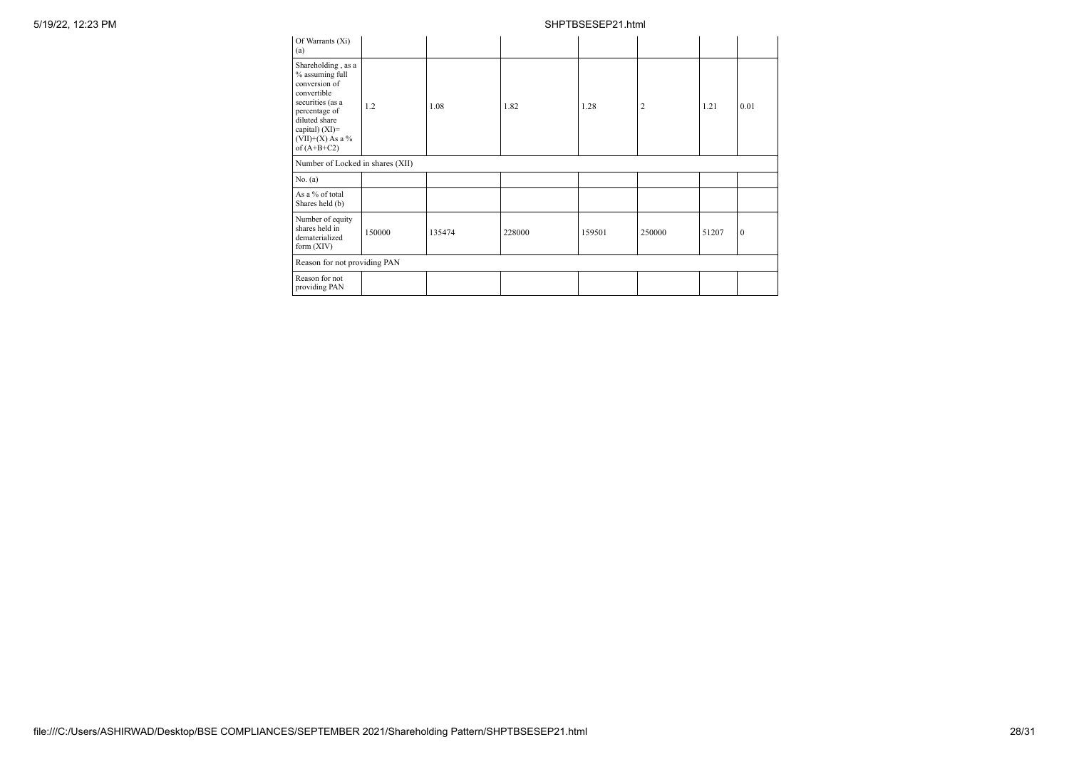| Of Warrants (Xi)<br>(a)                                                                                                                                                                 |        |        |        |        |                |       |          |
|-----------------------------------------------------------------------------------------------------------------------------------------------------------------------------------------|--------|--------|--------|--------|----------------|-------|----------|
| Shareholding, as a<br>% assuming full<br>conversion of<br>convertible<br>securities (as a<br>percentage of<br>diluted share<br>capital) $(XI)$ =<br>$(VII)+(X)$ As a %<br>of $(A+B+C2)$ | 1.2    | 1.08   | 1.82   | 1.28   | $\overline{2}$ | 1.21  | 0.01     |
| Number of Locked in shares (XII)                                                                                                                                                        |        |        |        |        |                |       |          |
| No. (a)                                                                                                                                                                                 |        |        |        |        |                |       |          |
| As a % of total<br>Shares held (b)                                                                                                                                                      |        |        |        |        |                |       |          |
| Number of equity<br>shares held in<br>dematerialized<br>form $(XIV)$                                                                                                                    | 150000 | 135474 | 228000 | 159501 | 250000         | 51207 | $\theta$ |
| Reason for not providing PAN                                                                                                                                                            |        |        |        |        |                |       |          |
| Reason for not<br>providing PAN                                                                                                                                                         |        |        |        |        |                |       |          |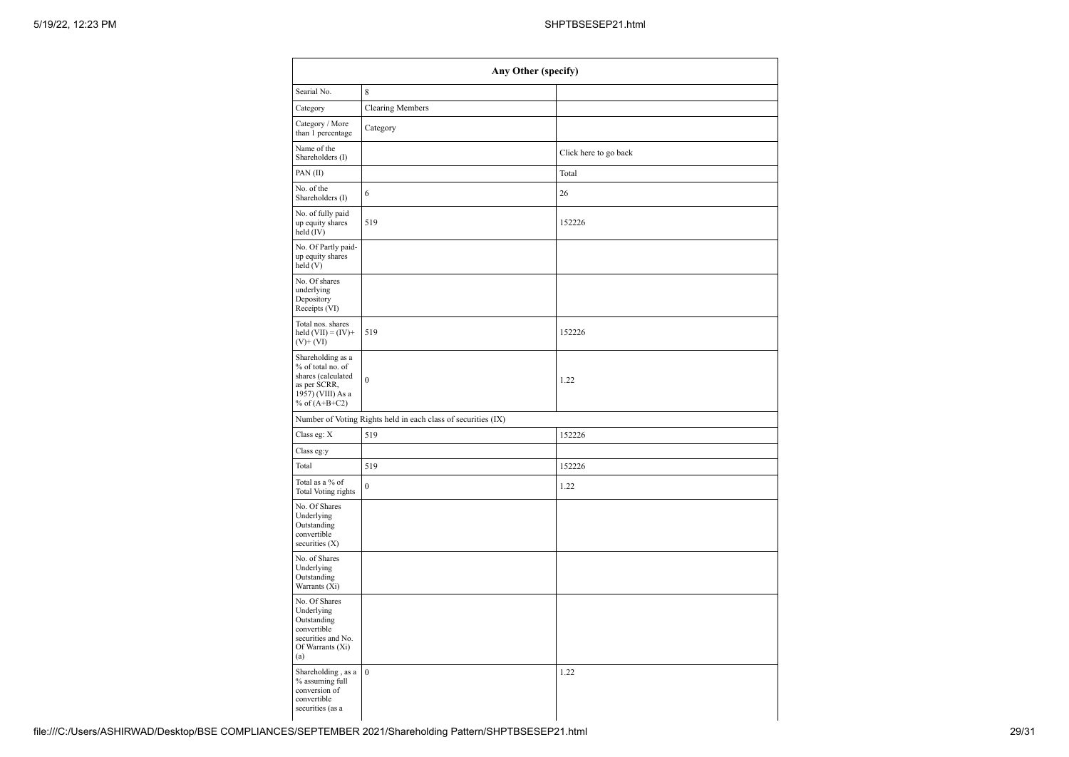| Any Other (specify)                                                                                                  |                                                               |                       |  |  |
|----------------------------------------------------------------------------------------------------------------------|---------------------------------------------------------------|-----------------------|--|--|
| Searial No.                                                                                                          | $\,$ 8 $\,$                                                   |                       |  |  |
| Category                                                                                                             | <b>Clearing Members</b>                                       |                       |  |  |
| Category / More<br>than 1 percentage                                                                                 | Category                                                      |                       |  |  |
| Name of the<br>Shareholders (I)                                                                                      |                                                               | Click here to go back |  |  |
| PAN(II)                                                                                                              |                                                               | Total                 |  |  |
| No. of the<br>Shareholders (I)                                                                                       | 6                                                             | 26                    |  |  |
| No. of fully paid<br>up equity shares<br>$held$ (IV)                                                                 | 519                                                           | 152226                |  |  |
| No. Of Partly paid-<br>up equity shares<br>held(V)                                                                   |                                                               |                       |  |  |
| No. Of shares<br>underlying<br>Depository<br>Receipts (VI)                                                           |                                                               |                       |  |  |
| Total nos. shares<br>held $(VII) = (IV) +$<br>$(V)$ + $(VI)$                                                         | 519                                                           | 152226                |  |  |
| Shareholding as a<br>% of total no. of<br>shares (calculated<br>as per SCRR,<br>1957) (VIII) As a<br>% of $(A+B+C2)$ | $\boldsymbol{0}$                                              | 1.22                  |  |  |
|                                                                                                                      | Number of Voting Rights held in each class of securities (IX) |                       |  |  |
| Class eg: X                                                                                                          | 519                                                           | 152226                |  |  |
| Class eg:y                                                                                                           |                                                               |                       |  |  |
| Total                                                                                                                | 519                                                           | 152226                |  |  |
| Total as a % of<br>Total Voting rights                                                                               | $\boldsymbol{0}$                                              | 1.22                  |  |  |
| No. Of Shares<br>Underlying<br>Outstanding<br>convertible<br>securities $(X)$                                        |                                                               |                       |  |  |
| No. of Shares<br>Underlying<br>Outstanding<br>Warrants (Xi)                                                          |                                                               |                       |  |  |
| No. Of Shares<br>Underlying<br>Outstanding<br>convertible<br>securities and No.<br>Of Warrants (Xi)<br>(a)           |                                                               |                       |  |  |
| Shareholding, as a<br>% assuming full<br>conversion of<br>convertible<br>securities (as a                            | $\boldsymbol{0}$                                              | 1.22                  |  |  |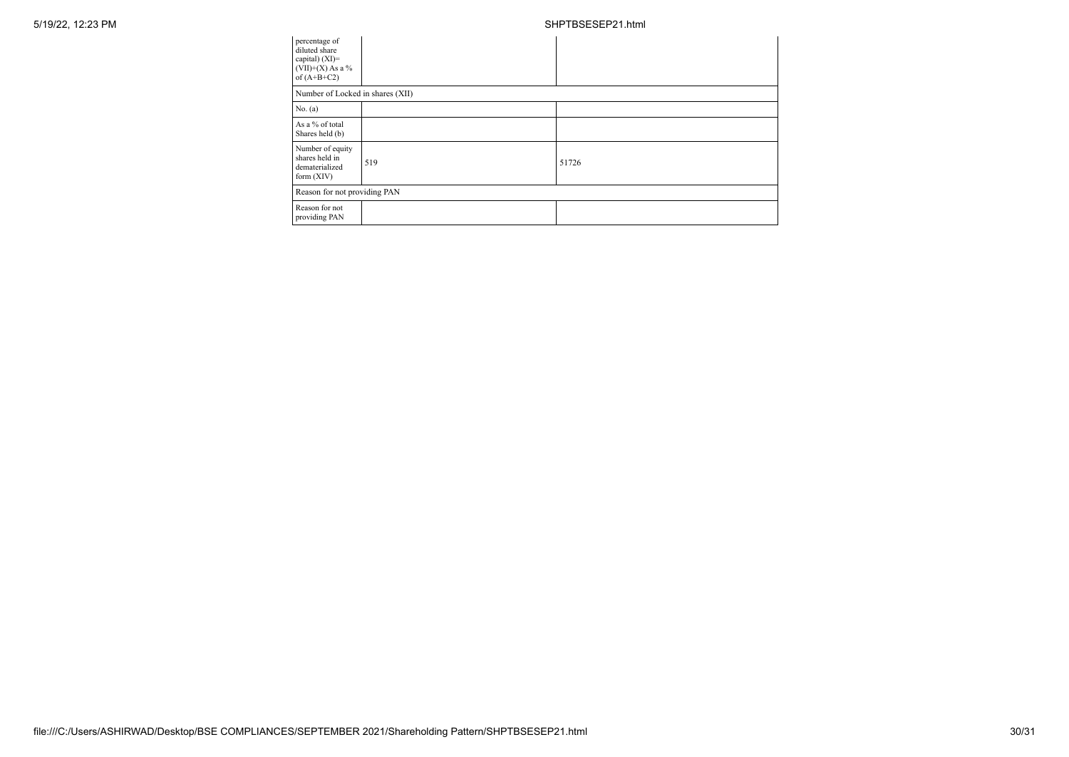| percentage of<br>diluted share<br>capital) (XI)=<br>$(VII)+(X)$ As a %<br>of $(A+B+C2)$ |     |       |  |  |  |
|-----------------------------------------------------------------------------------------|-----|-------|--|--|--|
| Number of Locked in shares (XII)                                                        |     |       |  |  |  |
| No. (a)                                                                                 |     |       |  |  |  |
| As a % of total<br>Shares held (b)                                                      |     |       |  |  |  |
| Number of equity<br>shares held in<br>dematerialized<br>form $(XIV)$                    | 519 | 51726 |  |  |  |
| Reason for not providing PAN                                                            |     |       |  |  |  |
| Reason for not<br>providing PAN                                                         |     |       |  |  |  |